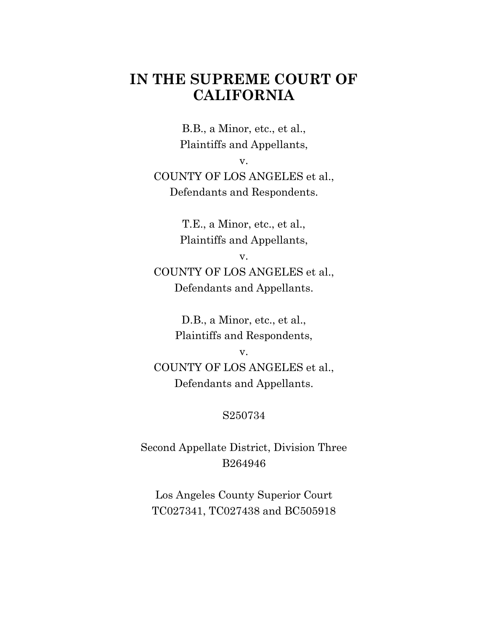# **IN THE SUPREME COURT OF CALIFORNIA**

B.B., a Minor, etc., et al., Plaintiffs and Appellants,

v.

COUNTY OF LOS ANGELES et al., Defendants and Respondents.

> T.E., a Minor, etc., et al., Plaintiffs and Appellants,

> > v.

COUNTY OF LOS ANGELES et al., Defendants and Appellants.

> D.B., a Minor, etc., et al., Plaintiffs and Respondents,

> > v.

COUNTY OF LOS ANGELES et al., Defendants and Appellants.

# S250734

Second Appellate District, Division Three B264946

Los Angeles County Superior Court TC027341, TC027438 and BC505918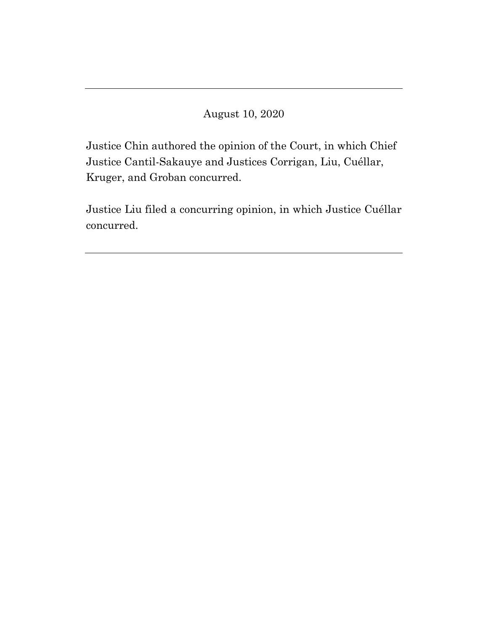August 10, 2020

Justice Chin authored the opinion of the Court, in which Chief Justice Cantil-Sakauye and Justices Corrigan, Liu, Cuéllar, Kruger, and Groban concurred.

Justice Liu filed a concurring opinion, in which Justice Cuéllar concurred.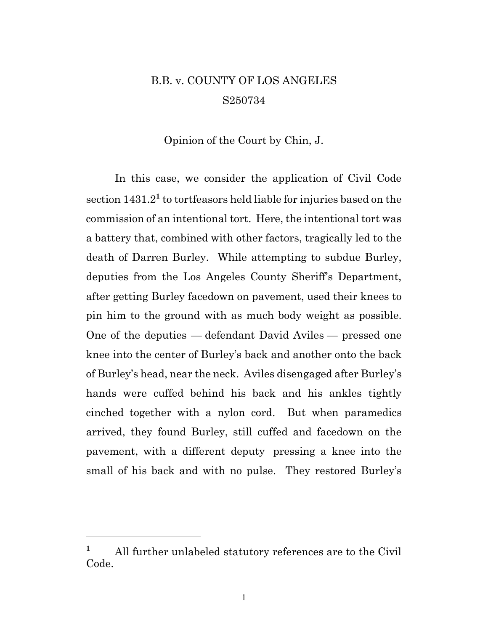# B.B. v. COUNTY OF LOS ANGELES S250734

#### Opinion of the Court by Chin, J.

In this case, we consider the application of Civil Code section 1431.2**<sup>1</sup>** to tortfeasors held liable for injuries based on the commission of an intentional tort. Here, the intentional tort was a battery that, combined with other factors, tragically led to the death of Darren Burley. While attempting to subdue Burley, deputies from the Los Angeles County Sheriff's Department, after getting Burley facedown on pavement, used their knees to pin him to the ground with as much body weight as possible. One of the deputies — defendant David Aviles — pressed one knee into the center of Burley's back and another onto the back of Burley's head, near the neck. Aviles disengaged after Burley's hands were cuffed behind his back and his ankles tightly cinched together with a nylon cord. But when paramedics arrived, they found Burley, still cuffed and facedown on the pavement, with a different deputy pressing a knee into the small of his back and with no pulse. They restored Burley's

**<sup>1</sup>** All further unlabeled statutory references are to the Civil Code.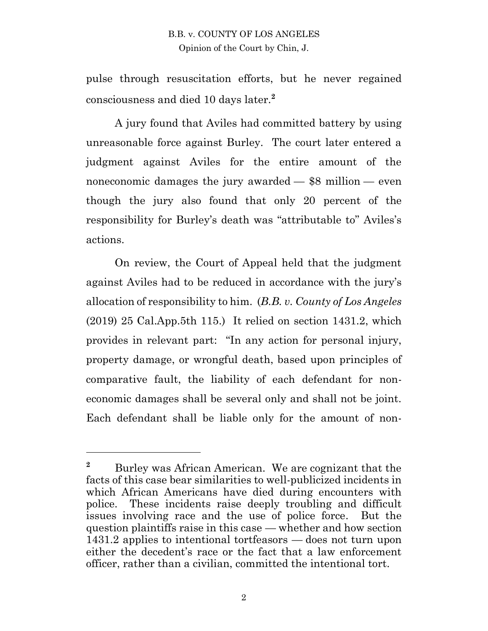pulse through resuscitation efforts, but he never regained consciousness and died 10 days later.**<sup>2</sup>**

A jury found that Aviles had committed battery by using unreasonable force against Burley. The court later entered a judgment against Aviles for the entire amount of the noneconomic damages the jury awarded — \$8 million — even though the jury also found that only 20 percent of the responsibility for Burley's death was "attributable to" Aviles's actions.

On review, the Court of Appeal held that the judgment against Aviles had to be reduced in accordance with the jury's allocation of responsibility to him. (*B.B. v. County of Los Angeles* (2019) 25 Cal.App.5th 115.) It relied on section 1431.2, which provides in relevant part: "In any action for personal injury, property damage, or wrongful death, based upon principles of comparative fault, the liability of each defendant for noneconomic damages shall be several only and shall not be joint. Each defendant shall be liable only for the amount of non-

 $\overline{a}$ 

<sup>&</sup>lt;sup>2</sup> Burley was African American. We are cognizant that the facts of this case bear similarities to well-publicized incidents in which African Americans have died during encounters with police. These incidents raise deeply troubling and difficult issues involving race and the use of police force. But the question plaintiffs raise in this case — whether and how section 1431.2 applies to intentional tortfeasors — does not turn upon either the decedent's race or the fact that a law enforcement officer, rather than a civilian, committed the intentional tort.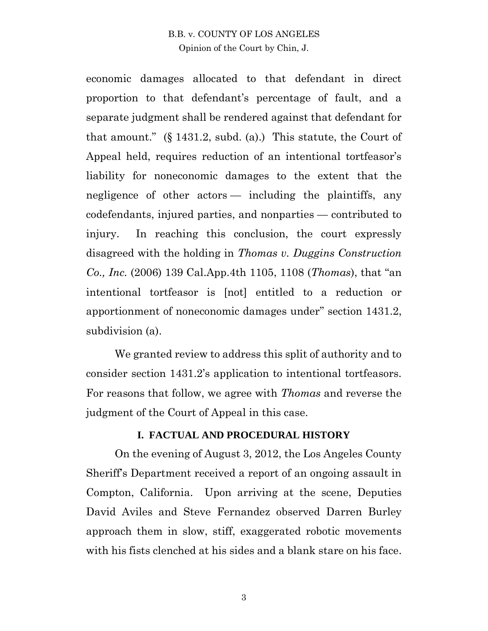economic damages allocated to that defendant in direct proportion to that defendant's percentage of fault, and a separate judgment shall be rendered against that defendant for that amount." (§ 1431.2, subd. (a).) This statute, the Court of Appeal held, requires reduction of an intentional tortfeasor's liability for noneconomic damages to the extent that the negligence of other actors — including the plaintiffs, any codefendants, injured parties, and nonparties — contributed to injury. In reaching this conclusion, the court expressly disagreed with the holding in *Thomas v. Duggins Construction Co., Inc.* (2006) 139 Cal.App.4th 1105, 1108 (*Thomas*), that "an intentional tortfeasor is [not] entitled to a reduction or apportionment of noneconomic damages under" section 1431.2, subdivision (a).

We granted review to address this split of authority and to consider section 1431.2's application to intentional tortfeasors. For reasons that follow, we agree with *Thomas* and reverse the judgment of the Court of Appeal in this case.

#### **I. FACTUAL AND PROCEDURAL HISTORY**

On the evening of August 3, 2012, the Los Angeles County Sheriff's Department received a report of an ongoing assault in Compton, California. Upon arriving at the scene, Deputies David Aviles and Steve Fernandez observed Darren Burley approach them in slow, stiff, exaggerated robotic movements with his fists clenched at his sides and a blank stare on his face.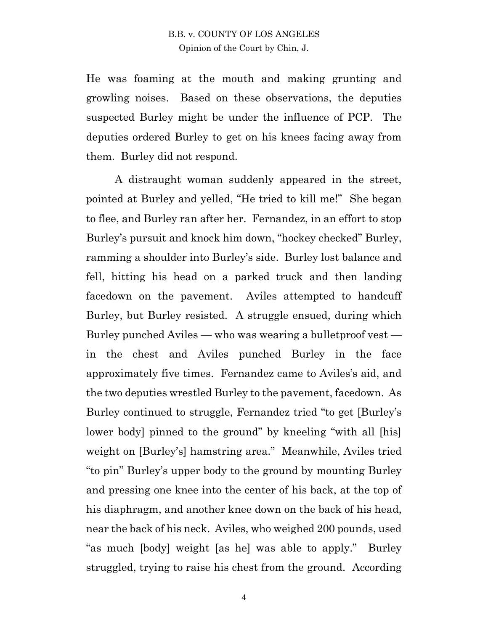He was foaming at the mouth and making grunting and growling noises. Based on these observations, the deputies suspected Burley might be under the influence of PCP. The deputies ordered Burley to get on his knees facing away from them. Burley did not respond.

A distraught woman suddenly appeared in the street, pointed at Burley and yelled, "He tried to kill me!" She began to flee, and Burley ran after her. Fernandez, in an effort to stop Burley's pursuit and knock him down, "hockey checked" Burley, ramming a shoulder into Burley's side. Burley lost balance and fell, hitting his head on a parked truck and then landing facedown on the pavement. Aviles attempted to handcuff Burley, but Burley resisted. A struggle ensued, during which Burley punched Aviles — who was wearing a bulletproof vest in the chest and Aviles punched Burley in the face approximately five times. Fernandez came to Aviles's aid, and the two deputies wrestled Burley to the pavement, facedown. As Burley continued to struggle, Fernandez tried "to get [Burley's lower body] pinned to the ground" by kneeling "with all [his] weight on [Burley's] hamstring area." Meanwhile, Aviles tried "to pin" Burley's upper body to the ground by mounting Burley and pressing one knee into the center of his back, at the top of his diaphragm, and another knee down on the back of his head, near the back of his neck. Aviles, who weighed 200 pounds, used "as much [body] weight [as he] was able to apply." Burley struggled, trying to raise his chest from the ground. According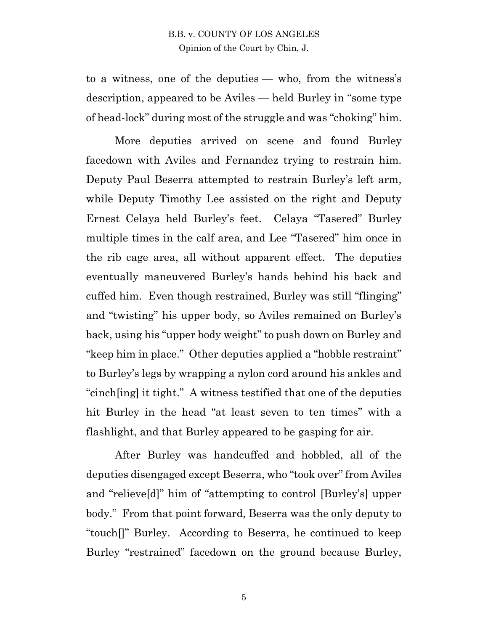to a witness, one of the deputies — who, from the witness's description, appeared to be Aviles — held Burley in "some type of head-lock" during most of the struggle and was "choking" him.

More deputies arrived on scene and found Burley facedown with Aviles and Fernandez trying to restrain him. Deputy Paul Beserra attempted to restrain Burley's left arm, while Deputy Timothy Lee assisted on the right and Deputy Ernest Celaya held Burley's feet. Celaya "Tasered" Burley multiple times in the calf area, and Lee "Tasered" him once in the rib cage area, all without apparent effect. The deputies eventually maneuvered Burley's hands behind his back and cuffed him. Even though restrained, Burley was still "flinging" and "twisting" his upper body, so Aviles remained on Burley's back, using his "upper body weight" to push down on Burley and "keep him in place." Other deputies applied a "hobble restraint" to Burley's legs by wrapping a nylon cord around his ankles and "cinch[ing] it tight." A witness testified that one of the deputies hit Burley in the head "at least seven to ten times" with a flashlight, and that Burley appeared to be gasping for air.

After Burley was handcuffed and hobbled, all of the deputies disengaged except Beserra, who "took over" from Aviles and "relieve[d]" him of "attempting to control [Burley's] upper body." From that point forward, Beserra was the only deputy to "touch[]" Burley. According to Beserra, he continued to keep Burley "restrained" facedown on the ground because Burley,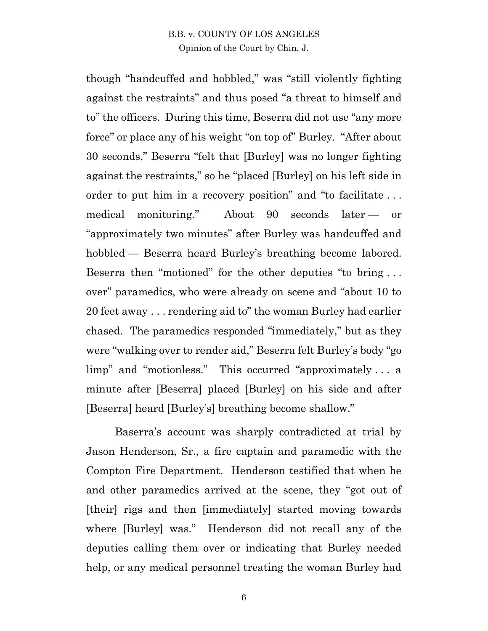though "handcuffed and hobbled," was "still violently fighting against the restraints" and thus posed "a threat to himself and to" the officers. During this time, Beserra did not use "any more force" or place any of his weight "on top of" Burley. "After about 30 seconds," Beserra "felt that [Burley] was no longer fighting against the restraints," so he "placed [Burley] on his left side in order to put him in a recovery position" and "to facilitate . . . medical monitoring." About 90 seconds later — or "approximately two minutes" after Burley was handcuffed and hobbled — Beserra heard Burley's breathing become labored. Beserra then "motioned" for the other deputies "to bring . . . over" paramedics, who were already on scene and "about 10 to 20 feet away . . . rendering aid to" the woman Burley had earlier chased. The paramedics responded "immediately," but as they were "walking over to render aid," Beserra felt Burley's body "go limp" and "motionless." This occurred "approximately . . . a minute after [Beserra] placed [Burley] on his side and after [Beserra] heard [Burley's] breathing become shallow."

Baserra's account was sharply contradicted at trial by Jason Henderson, Sr., a fire captain and paramedic with the Compton Fire Department. Henderson testified that when he and other paramedics arrived at the scene, they "got out of [their] rigs and then [immediately] started moving towards where [Burley] was." Henderson did not recall any of the deputies calling them over or indicating that Burley needed help, or any medical personnel treating the woman Burley had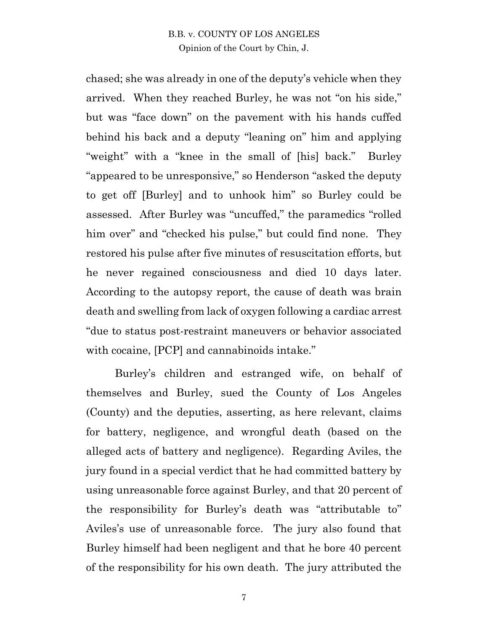chased; she was already in one of the deputy's vehicle when they arrived. When they reached Burley, he was not "on his side," but was "face down" on the pavement with his hands cuffed behind his back and a deputy "leaning on" him and applying "weight" with a "knee in the small of [his] back." Burley "appeared to be unresponsive," so Henderson "asked the deputy to get off [Burley] and to unhook him" so Burley could be assessed. After Burley was "uncuffed," the paramedics "rolled him over" and "checked his pulse," but could find none. They restored his pulse after five minutes of resuscitation efforts, but he never regained consciousness and died 10 days later. According to the autopsy report, the cause of death was brain death and swelling from lack of oxygen following a cardiac arrest "due to status post-restraint maneuvers or behavior associated with cocaine, [PCP] and cannabinoids intake."

Burley's children and estranged wife, on behalf of themselves and Burley, sued the County of Los Angeles (County) and the deputies, asserting, as here relevant, claims for battery, negligence, and wrongful death (based on the alleged acts of battery and negligence). Regarding Aviles, the jury found in a special verdict that he had committed battery by using unreasonable force against Burley, and that 20 percent of the responsibility for Burley's death was "attributable to" Aviles's use of unreasonable force. The jury also found that Burley himself had been negligent and that he bore 40 percent of the responsibility for his own death. The jury attributed the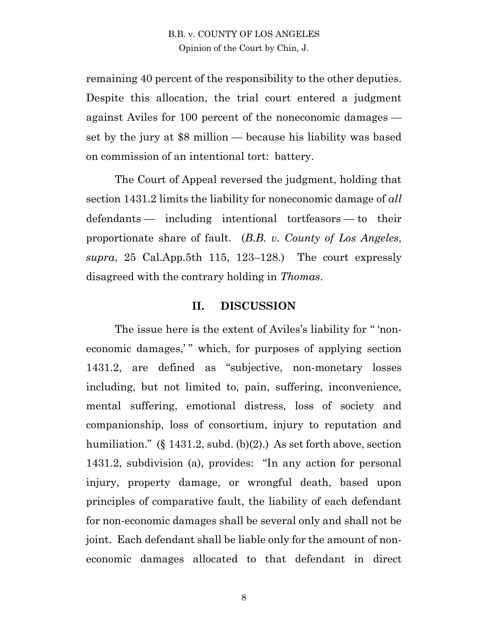remaining 40 percent of the responsibility to the other deputies. Despite this allocation, the trial court entered a judgment against Aviles for 100 percent of the noneconomic damages set by the jury at \$8 million — because his liability was based on commission of an intentional tort: battery.

The Court of Appeal reversed the judgment, holding that section 1431.2 limits the liability for noneconomic damage of *all*  defendants — including intentional tortfeasors — to their proportionate share of fault. (*B.B. v. County of Los Angeles*, *supra*, 25 Cal.App.5th 115, 123–128.) The court expressly disagreed with the contrary holding in *Thomas*.

#### **II. DISCUSSION**

The issue here is the extent of Aviles's liability for " 'noneconomic damages," which, for purposes of applying section 1431.2, are defined as "subjective, non-monetary losses including, but not limited to, pain, suffering, inconvenience, mental suffering, emotional distress, loss of society and companionship, loss of consortium, injury to reputation and humiliation." (§ 1431.2, subd. (b)(2).) As set forth above, section 1431.2, subdivision (a), provides: "In any action for personal injury, property damage, or wrongful death, based upon principles of comparative fault, the liability of each defendant for non-economic damages shall be several only and shall not be joint. Each defendant shall be liable only for the amount of noneconomic damages allocated to that defendant in direct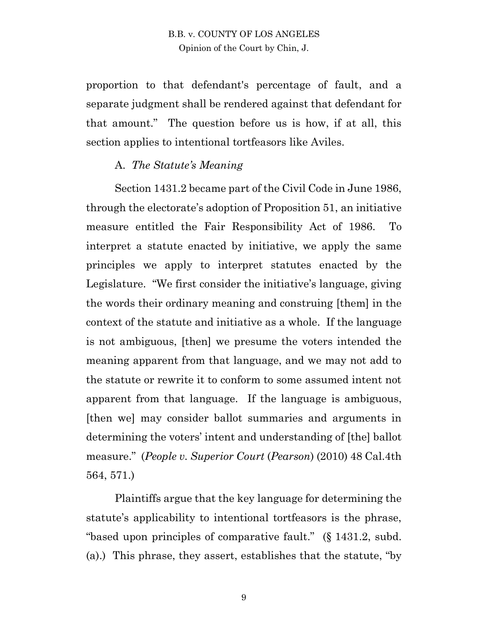proportion to that defendant's percentage of fault, and a separate judgment shall be rendered against that defendant for that amount." The question before us is how, if at all, this section applies to intentional tortfeasors like Aviles.

#### A. *The Statute's Meaning*

Section 1431.2 became part of the Civil Code in June 1986, through the electorate's adoption of Proposition 51, an initiative measure entitled the Fair Responsibility Act of 1986. To interpret a statute enacted by initiative, we apply the same principles we apply to interpret statutes enacted by the Legislature. "We first consider the initiative's language, giving the words their ordinary meaning and construing [them] in the context of the statute and initiative as a whole. If the language is not ambiguous, [then] we presume the voters intended the meaning apparent from that language, and we may not add to the statute or rewrite it to conform to some assumed intent not apparent from that language. If the language is ambiguous, [then we] may consider ballot summaries and arguments in determining the voters' intent and understanding of [the] ballot measure." (*People v. Superior Court* (*Pearson*) (2010) 48 Cal.4th 564, 571.)

Plaintiffs argue that the key language for determining the statute's applicability to intentional tortfeasors is the phrase, "based upon principles of comparative fault." (§ 1431.2, subd. (a).) This phrase, they assert, establishes that the statute, "by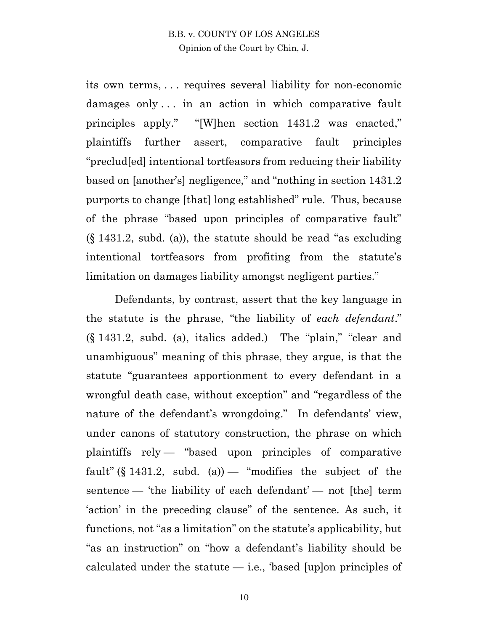its own terms, . . . requires several liability for non-economic damages only . . . in an action in which comparative fault principles apply." "[W]hen section 1431.2 was enacted," plaintiffs further assert, comparative fault principles "preclud[ed] intentional tortfeasors from reducing their liability based on [another's] negligence," and "nothing in section 1431.2 purports to change [that] long established" rule. Thus, because of the phrase "based upon principles of comparative fault" (§ 1431.2, subd. (a)), the statute should be read "as excluding intentional tortfeasors from profiting from the statute's limitation on damages liability amongst negligent parties."

Defendants, by contrast, assert that the key language in the statute is the phrase, "the liability of *each defendant*." (§ 1431.2, subd. (a), italics added.) The "plain," "clear and unambiguous" meaning of this phrase, they argue, is that the statute "guarantees apportionment to every defendant in a wrongful death case, without exception" and "regardless of the nature of the defendant's wrongdoing." In defendants' view, under canons of statutory construction, the phrase on which plaintiffs rely — "based upon principles of comparative fault" (§ 1431.2, subd. (a)  $-$  "modifies the subject of the sentence — 'the liability of each defendant' — not [the] term 'action' in the preceding clause" of the sentence. As such, it functions, not "as a limitation" on the statute's applicability, but "as an instruction" on "how a defendant's liability should be calculated under the statute  $-$  i.e., 'based [up]on principles of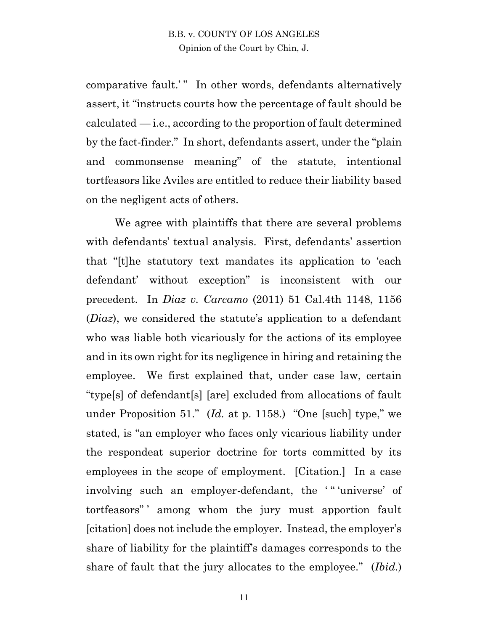comparative fault.'" In other words, defendants alternatively assert, it "instructs courts how the percentage of fault should be  $cal-\text{i.e., according to the proportion of fault determined}$ by the fact-finder." In short, defendants assert, under the "plain and commonsense meaning" of the statute, intentional tortfeasors like Aviles are entitled to reduce their liability based on the negligent acts of others.

We agree with plaintiffs that there are several problems with defendants' textual analysis. First, defendants' assertion that "[t]he statutory text mandates its application to 'each defendant' without exception" is inconsistent with our precedent. In *Diaz v. Carcamo* (2011) 51 Cal.4th 1148, 1156 (*Diaz*), we considered the statute's application to a defendant who was liable both vicariously for the actions of its employee and in its own right for its negligence in hiring and retaining the employee. We first explained that, under case law, certain "type[s] of defendant[s] [are] excluded from allocations of fault under Proposition 51." (*Id.* at p. 1158.) "One [such] type," we stated, is "an employer who faces only vicarious liability under the respondeat superior doctrine for torts committed by its employees in the scope of employment. [Citation.] In a case involving such an employer-defendant, the "" 'universe' of tortfeasors" ' among whom the jury must apportion fault [citation] does not include the employer. Instead, the employer's share of liability for the plaintiff's damages corresponds to the share of fault that the jury allocates to the employee." (*Ibid.*)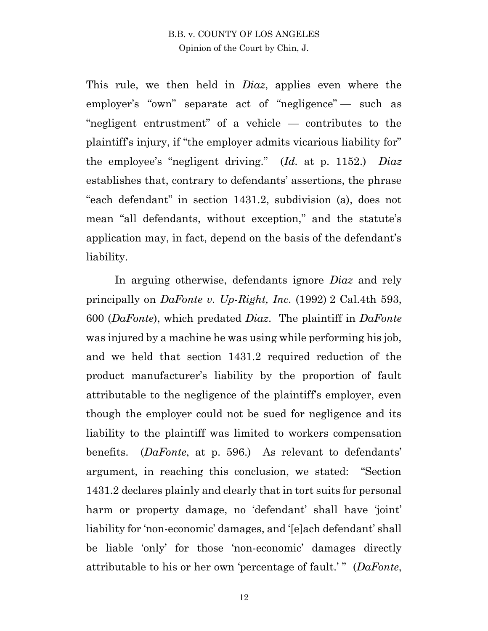This rule, we then held in *Diaz*, applies even where the employer's "own" separate act of "negligence" — such as "negligent entrustment" of a vehicle — contributes to the plaintiff's injury, if "the employer admits vicarious liability for" the employee's "negligent driving." (*Id.* at p. 1152.) *Diaz* establishes that, contrary to defendants' assertions, the phrase "each defendant" in section 1431.2, subdivision (a), does not mean "all defendants, without exception," and the statute's application may, in fact, depend on the basis of the defendant's liability.

In arguing otherwise, defendants ignore *Diaz* and rely principally on *DaFonte v. Up-Right, Inc.* (1992) 2 Cal.4th 593, 600 (*DaFonte*), which predated *Diaz*. The plaintiff in *DaFonte*  was injured by a machine he was using while performing his job, and we held that section 1431.2 required reduction of the product manufacturer's liability by the proportion of fault attributable to the negligence of the plaintiff's employer, even though the employer could not be sued for negligence and its liability to the plaintiff was limited to workers compensation benefits. (*DaFonte*, at p. 596.) As relevant to defendants' argument, in reaching this conclusion, we stated: "Section 1431.2 declares plainly and clearly that in tort suits for personal harm or property damage, no 'defendant' shall have 'joint' liability for 'non-economic' damages, and '[e]ach defendant' shall be liable 'only' for those 'non-economic' damages directly attributable to his or her own 'percentage of fault.' " (*DaFonte*,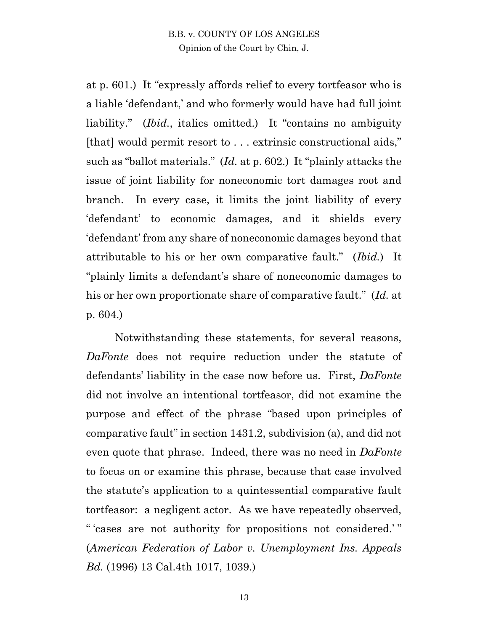at p. 601.) It "expressly affords relief to every tortfeasor who is a liable 'defendant,' and who formerly would have had full joint liability." *(Ibid., italics omitted.)* It "contains no ambiguity [that] would permit resort to . . . extrinsic constructional aids," such as "ballot materials." (*Id.* at p. 602.) It "plainly attacks the issue of joint liability for noneconomic tort damages root and branch. In every case, it limits the joint liability of every 'defendant' to economic damages, and it shields every 'defendant' from any share of noneconomic damages beyond that attributable to his or her own comparative fault." (*Ibid.*) It "plainly limits a defendant's share of noneconomic damages to his or her own proportionate share of comparative fault." (*Id.* at p. 604.)

Notwithstanding these statements, for several reasons, *DaFonte* does not require reduction under the statute of defendants' liability in the case now before us. First, *DaFonte* did not involve an intentional tortfeasor, did not examine the purpose and effect of the phrase "based upon principles of comparative fault" in section 1431.2, subdivision (a), and did not even quote that phrase. Indeed, there was no need in *DaFonte* to focus on or examine this phrase, because that case involved the statute's application to a quintessential comparative fault tortfeasor: a negligent actor. As we have repeatedly observed, " 'cases are not authority for propositions not considered.' " (*American Federation of Labor v. Unemployment Ins. Appeals Bd.* (1996) 13 Cal.4th 1017, 1039.)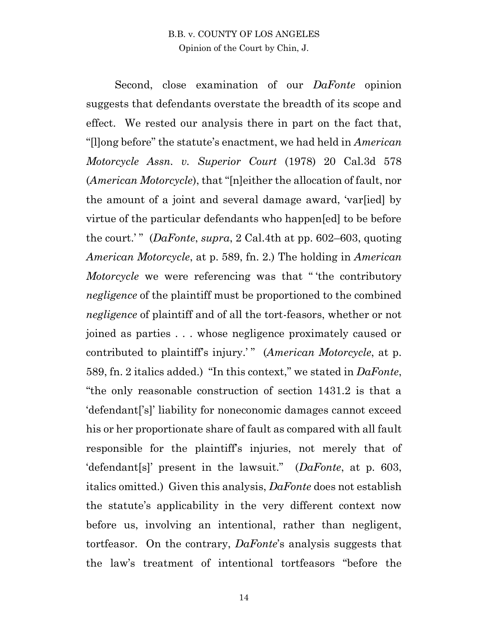Second, close examination of our *DaFonte* opinion suggests that defendants overstate the breadth of its scope and effect. We rested our analysis there in part on the fact that, "[l]ong before" the statute's enactment, we had held in *American Motorcycle Assn. v. Superior Court* (1978) 20 Cal.3d 578 (*American Motorcycle*), that "[n]either the allocation of fault, nor the amount of a joint and several damage award, 'var[ied] by virtue of the particular defendants who happen[ed] to be before the court.' " (*DaFonte*, *supra*, 2 Cal.4th at pp. 602–603, quoting *American Motorcycle*, at p. 589, fn. 2.) The holding in *American Motorcycle* we were referencing was that " 'the contributory *negligence* of the plaintiff must be proportioned to the combined *negligence* of plaintiff and of all the tort-feasors, whether or not joined as parties . . . whose negligence proximately caused or contributed to plaintiff's injury.' " (*American Motorcycle*, at p. 589, fn. 2 italics added.) "In this context," we stated in *DaFonte*, "the only reasonable construction of section 1431.2 is that a 'defendant['s]' liability for noneconomic damages cannot exceed his or her proportionate share of fault as compared with all fault responsible for the plaintiff's injuries, not merely that of 'defendant[s]' present in the lawsuit." (*DaFonte*, at p. 603, italics omitted.) Given this analysis, *DaFonte* does not establish the statute's applicability in the very different context now before us, involving an intentional, rather than negligent, tortfeasor. On the contrary, *DaFonte*'s analysis suggests that the law's treatment of intentional tortfeasors "before the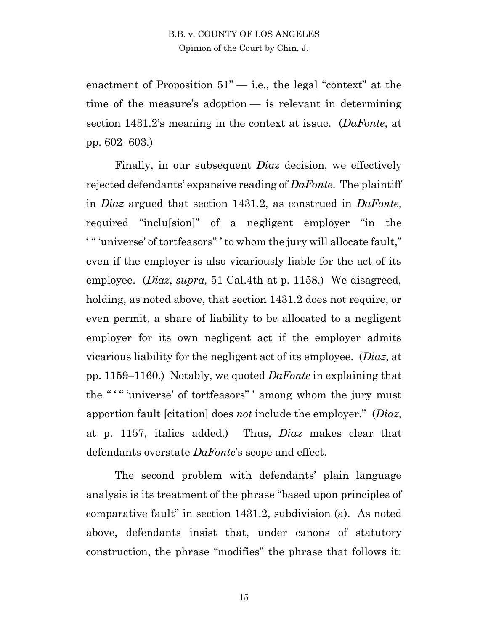enactment of Proposition  $51"$  — i.e., the legal "context" at the time of the measure's adoption — is relevant in determining section 1431.2's meaning in the context at issue. (*DaFonte*, at pp. 602–603.)

Finally, in our subsequent *Diaz* decision, we effectively rejected defendants' expansive reading of *DaFonte*. The plaintiff in *Diaz* argued that section 1431.2, as construed in *DaFonte*, required "inclu[sion]" of a negligent employer "in the ' " 'universe' of tortfeasors" ' to whom the jury will allocate fault," even if the employer is also vicariously liable for the act of its employee. (*Diaz*, *supra,* 51 Cal.4th at p. 1158.) We disagreed, holding, as noted above, that section 1431.2 does not require, or even permit, a share of liability to be allocated to a negligent employer for its own negligent act if the employer admits vicarious liability for the negligent act of its employee. (*Diaz*, at pp. 1159–1160.) Notably, we quoted *DaFonte* in explaining that the "" "universe' of tortfeasors" 'among whom the jury must apportion fault [citation] does *not* include the employer." (*Diaz*, at p. 1157, italics added.) Thus, *Diaz* makes clear that defendants overstate *DaFonte*'s scope and effect.

The second problem with defendants' plain language analysis is its treatment of the phrase "based upon principles of comparative fault" in section 1431.2, subdivision (a). As noted above, defendants insist that, under canons of statutory construction, the phrase "modifies" the phrase that follows it: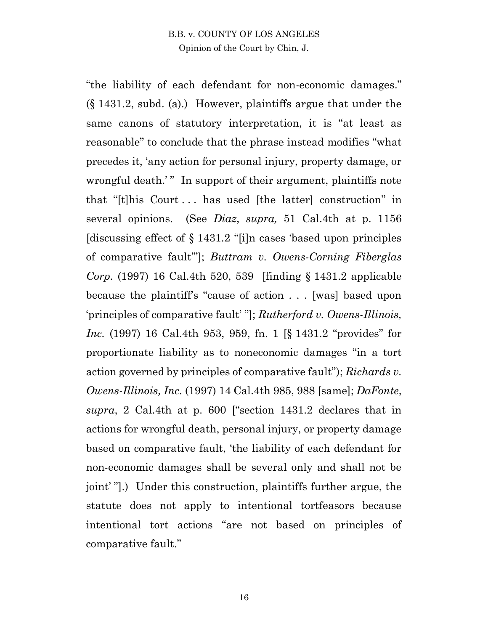"the liability of each defendant for non-economic damages." (§ 1431.2, subd. (a).) However, plaintiffs argue that under the same canons of statutory interpretation, it is "at least as reasonable" to conclude that the phrase instead modifies "what precedes it, 'any action for personal injury, property damage, or wrongful death.'" In support of their argument, plaintiffs note that "[t]his Court . . . has used [the latter] construction" in several opinions. (See *Diaz*, *supra,* 51 Cal.4th at p. 1156 [discussing effect of § 1431.2 "[i]n cases 'based upon principles of comparative fault'"]; *Buttram v. Owens-Corning Fiberglas Corp.* (1997) 16 Cal.4th 520, 539 [finding § 1431.2 applicable because the plaintiff's "cause of action . . . [was] based upon 'principles of comparative fault' "]; *Rutherford v. Owens-Illinois, Inc.* (1997) 16 Cal.4th 953, 959, fn. 1 [§ 1431.2 "provides" for proportionate liability as to noneconomic damages "in a tort action governed by principles of comparative fault"); *Richards v. Owens-Illinois, Inc.* (1997) 14 Cal.4th 985, 988 [same]; *DaFonte*, *supra*, 2 Cal.4th at p. 600 ["section 1431.2 declares that in actions for wrongful death, personal injury, or property damage based on comparative fault, 'the liability of each defendant for non-economic damages shall be several only and shall not be joint' "].) Under this construction, plaintiffs further argue, the statute does not apply to intentional tortfeasors because intentional tort actions "are not based on principles of comparative fault."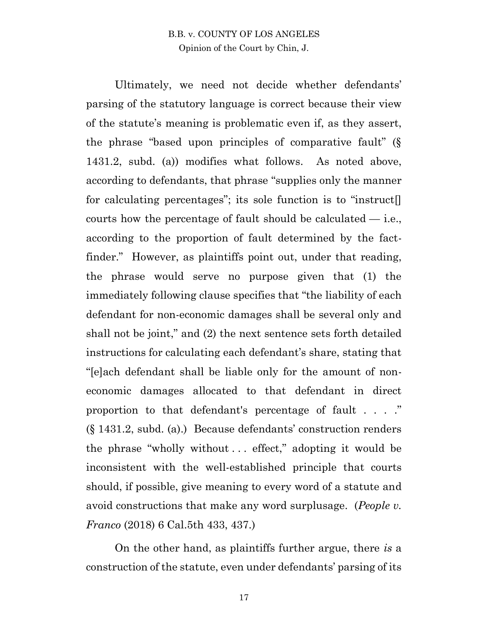Ultimately, we need not decide whether defendants' parsing of the statutory language is correct because their view of the statute's meaning is problematic even if, as they assert, the phrase "based upon principles of comparative fault" (§ 1431.2, subd. (a)) modifies what follows. As noted above, according to defendants, that phrase "supplies only the manner for calculating percentages"; its sole function is to "instruct[] courts how the percentage of fault should be calculated  $-$  i.e., according to the proportion of fault determined by the factfinder." However, as plaintiffs point out, under that reading, the phrase would serve no purpose given that (1) the immediately following clause specifies that "the liability of each defendant for non-economic damages shall be several only and shall not be joint," and (2) the next sentence sets forth detailed instructions for calculating each defendant's share, stating that "[e]ach defendant shall be liable only for the amount of noneconomic damages allocated to that defendant in direct proportion to that defendant's percentage of fault . . . ." (§ 1431.2, subd. (a).) Because defendants' construction renders the phrase "wholly without . . . effect," adopting it would be inconsistent with the well-established principle that courts should, if possible, give meaning to every word of a statute and avoid constructions that make any word surplusage. (*People v. Franco* (2018) 6 Cal.5th 433, 437.)

On the other hand, as plaintiffs further argue, there *is* a construction of the statute, even under defendants' parsing of its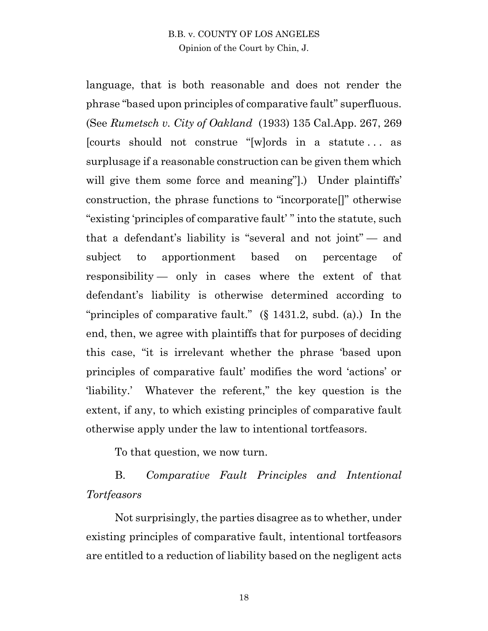language, that is both reasonable and does not render the phrase "based upon principles of comparative fault" superfluous. (See *Rumetsch v. City of Oakland* (1933) 135 Cal.App. 267, 269 [courts should not construe "[w]ords in a statute . . . as surplusage if a reasonable construction can be given them which will give them some force and meaning".) Under plaintiffs' construction, the phrase functions to "incorporate[]" otherwise "existing 'principles of comparative fault' " into the statute, such that a defendant's liability is "several and not joint" — and subject to apportionment based on percentage of responsibility — only in cases where the extent of that defendant's liability is otherwise determined according to "principles of comparative fault." (§ 1431.2, subd. (a).) In the end, then, we agree with plaintiffs that for purposes of deciding this case, "it is irrelevant whether the phrase 'based upon principles of comparative fault' modifies the word 'actions' or 'liability.' Whatever the referent," the key question is the extent, if any, to which existing principles of comparative fault otherwise apply under the law to intentional tortfeasors.

To that question, we now turn.

B. *Comparative Fault Principles and Intentional Tortfeasors*

Not surprisingly, the parties disagree as to whether, under existing principles of comparative fault, intentional tortfeasors are entitled to a reduction of liability based on the negligent acts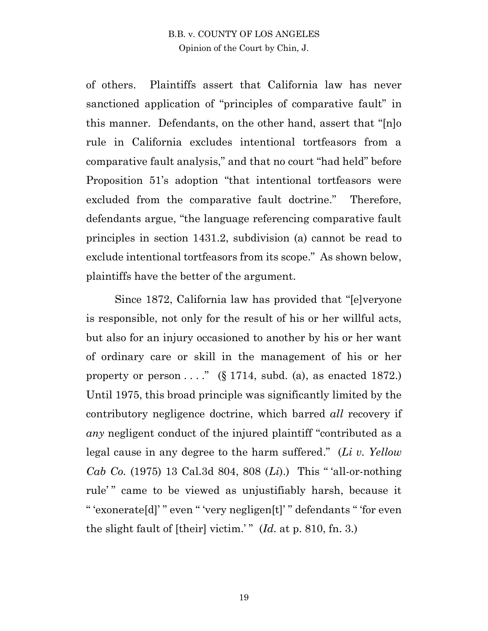of others. Plaintiffs assert that California law has never sanctioned application of "principles of comparative fault" in this manner. Defendants, on the other hand, assert that "[n]o rule in California excludes intentional tortfeasors from a comparative fault analysis," and that no court "had held" before Proposition 51's adoption "that intentional tortfeasors were excluded from the comparative fault doctrine." Therefore, defendants argue, "the language referencing comparative fault principles in section 1431.2, subdivision (a) cannot be read to exclude intentional tortfeasors from its scope." As shown below, plaintiffs have the better of the argument.

Since 1872, California law has provided that "[e]veryone is responsible, not only for the result of his or her willful acts, but also for an injury occasioned to another by his or her want of ordinary care or skill in the management of his or her property or person  $\dots$ " (§ 1714, subd. (a), as enacted 1872.) Until 1975, this broad principle was significantly limited by the contributory negligence doctrine, which barred *all* recovery if *any* negligent conduct of the injured plaintiff "contributed as a legal cause in any degree to the harm suffered." (*Li v. Yellow Cab Co.* (1975) 13 Cal.3d 804, 808 (*Li*).) This " 'all-or-nothing rule'" came to be viewed as unjustifiably harsh, because it " 'exonerate[d]' " even " 'very negligen[t]' " defendants " 'for even the slight fault of [their] victim.' " (*Id.* at p. 810, fn. 3.)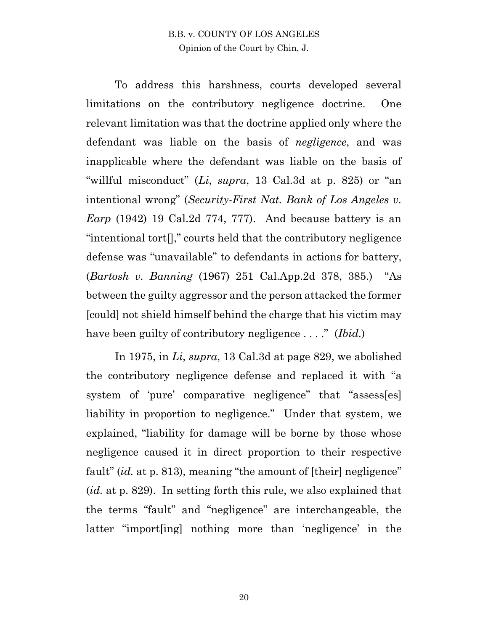To address this harshness, courts developed several limitations on the contributory negligence doctrine. One relevant limitation was that the doctrine applied only where the defendant was liable on the basis of *negligence*, and was inapplicable where the defendant was liable on the basis of "willful misconduct" (*Li*, *supra*, 13 Cal.3d at p. 825) or "an intentional wrong" (*Security-First Nat. Bank of Los Angeles v. Earp* (1942) 19 Cal.2d 774, 777). And because battery is an "intentional tort[]," courts held that the contributory negligence defense was "unavailable" to defendants in actions for battery, (*Bartosh v. Banning* (1967) 251 Cal.App.2d 378, 385.) "As between the guilty aggressor and the person attacked the former [could] not shield himself behind the charge that his victim may have been guilty of contributory negligence . . . ." (*Ibid.*)

In 1975, in *Li*, *supra*, 13 Cal.3d at page 829, we abolished the contributory negligence defense and replaced it with "a system of 'pure' comparative negligence" that "assess[es] liability in proportion to negligence." Under that system, we explained, "liability for damage will be borne by those whose negligence caused it in direct proportion to their respective fault" *(id.* at p. 813), meaning "the amount of [their] negligence" (*id.* at p. 829). In setting forth this rule, we also explained that the terms "fault" and "negligence" are interchangeable, the latter "import[ing] nothing more than 'negligence' in the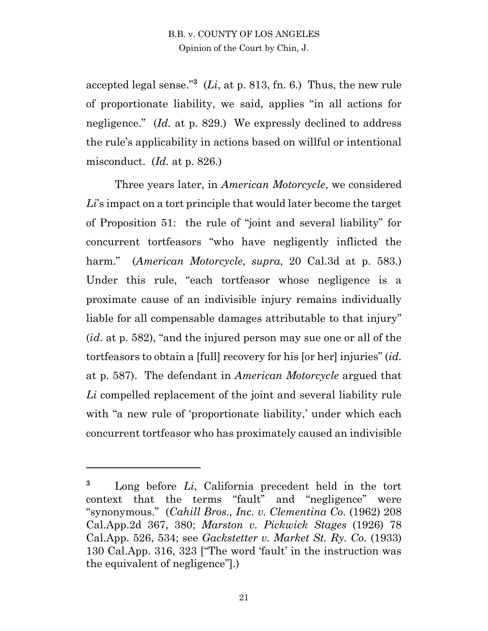accepted legal sense.<sup>"3</sup> ( $Li$ , at p. 813, fn. 6.) Thus, the new rule of proportionate liability, we said, applies "in all actions for negligence." (*Id.* at p. 829.) We expressly declined to address the rule's applicability in actions based on willful or intentional misconduct. (*Id.* at p. 826.)

Three years later, in *American Motorcycle*, we considered *Li*'s impact on a tort principle that would later become the target of Proposition 51: the rule of "joint and several liability" for concurrent tortfeasors "who have negligently inflicted the harm." (*American Motorcycle*, *supra*, 20 Cal.3d at p. 583.) Under this rule, "each tortfeasor whose negligence is a proximate cause of an indivisible injury remains individually liable for all compensable damages attributable to that injury" (*id.* at p. 582), "and the injured person may sue one or all of the tortfeasors to obtain a [full] recovery for his [or her] injuries" (*id.*  at p. 587). The defendant in *American Motorcycle* argued that *Li* compelled replacement of the joint and several liability rule with "a new rule of 'proportionate liability,' under which each concurrent tortfeasor who has proximately caused an indivisible

 $\overline{a}$ 

**<sup>3</sup>** Long before *Li*, California precedent held in the tort context that the terms "fault" and "negligence" were "synonymous." (*Cahill Bros., Inc. v. Clementina Co.* (1962) 208 Cal.App.2d 367, 380; *Marston v. Pickwick Stages* (1926) 78 Cal.App. 526, 534; see *Gackstetter v. Market St. Ry. Co.* (1933) 130 Cal.App. 316, 323 ["The word 'fault' in the instruction was the equivalent of negligence"].)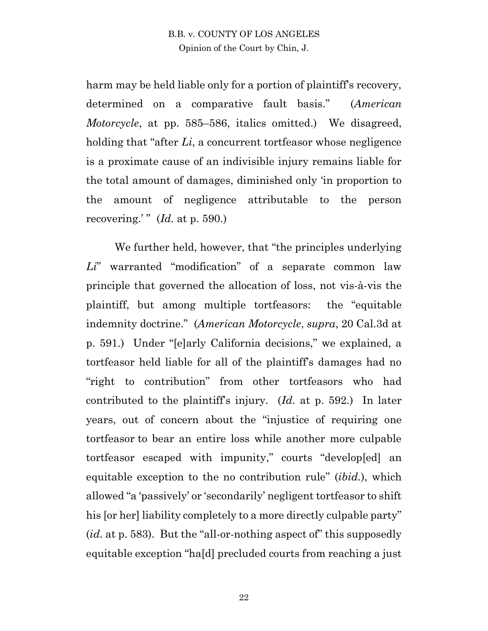harm may be held liable only for a portion of plaintiff's recovery, determined on a comparative fault basis." (*American Motorcycle*, at pp. 585–586, italics omitted.) We disagreed, holding that "after *Li*, a concurrent tortfeasor whose negligence is a proximate cause of an indivisible injury remains liable for the total amount of damages, diminished only 'in proportion to the amount of negligence attributable to the person recovering.'"  $(Id.$  at p. 590.)

We further held, however, that "the principles underlying" *Li*" warranted "modification" of a separate common law principle that governed the allocation of loss, not vis-à-vis the plaintiff, but among multiple tortfeasors: the "equitable indemnity doctrine." (*American Motorcycle*, *supra*, 20 Cal.3d at p. 591.) Under "[e]arly California decisions," we explained, a tortfeasor held liable for all of the plaintiff's damages had no "right to contribution" from other tortfeasors who had contributed to the plaintiff's injury. (*Id.* at p. 592.) In later years, out of concern about the "injustice of requiring one tortfeasor to bear an entire loss while another more culpable tortfeasor escaped with impunity," courts "develop[ed] an equitable exception to the no contribution rule" (*ibid.*), which allowed "a 'passively' or 'secondarily' negligent tortfeasor to shift his [or her] liability completely to a more directly culpable party" (*id.* at p. 583). But the "all-or-nothing aspect of" this supposedly equitable exception "ha[d] precluded courts from reaching a just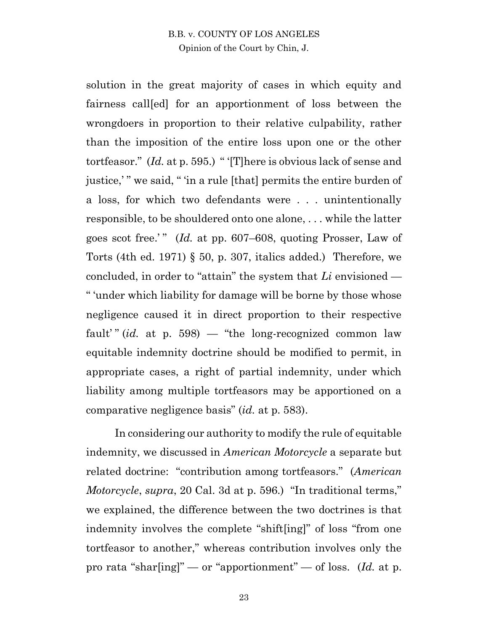solution in the great majority of cases in which equity and fairness call[ed] for an apportionment of loss between the wrongdoers in proportion to their relative culpability, rather than the imposition of the entire loss upon one or the other tortfeasor." (*Id.* at p. 595.) " '[T]here is obvious lack of sense and justice,' " we said, " 'in a rule [that] permits the entire burden of a loss, for which two defendants were . . . unintentionally responsible, to be shouldered onto one alone, . . . while the latter goes scot free.' " (*Id.* at pp. 607–608, quoting Prosser, Law of Torts (4th ed. 1971) § 50, p. 307, italics added.) Therefore, we concluded, in order to "attain" the system that *Li* envisioned — " 'under which liability for damage will be borne by those whose negligence caused it in direct proportion to their respective fault' " (*id.* at p. 598) — "the long-recognized common law equitable indemnity doctrine should be modified to permit, in appropriate cases, a right of partial indemnity, under which liability among multiple tortfeasors may be apportioned on a comparative negligence basis" (*id.* at p. 583).

In considering our authority to modify the rule of equitable indemnity, we discussed in *American Motorcycle* a separate but related doctrine: "contribution among tortfeasors." (*American Motorcycle*, *supra*, 20 Cal. 3d at p. 596.) "In traditional terms," we explained, the difference between the two doctrines is that indemnity involves the complete "shift[ing]" of loss "from one tortfeasor to another," whereas contribution involves only the pro rata "shar[ing]" — or "apportionment" — of loss. (*Id.* at p.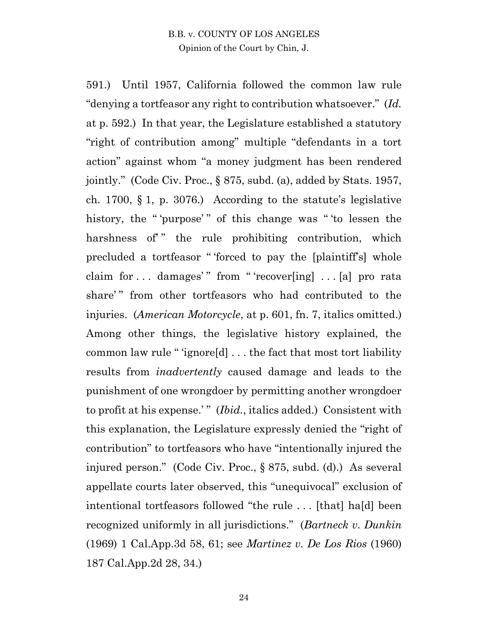591.) Until 1957, California followed the common law rule "denying a tortfeasor any right to contribution whatsoever." (*Id.* at p. 592.) In that year, the Legislature established a statutory "right of contribution among" multiple "defendants in a tort action" against whom "a money judgment has been rendered jointly." (Code Civ. Proc., § 875, subd. (a), added by Stats. 1957, ch. 1700, § 1, p. 3076.) According to the statute's legislative history, the "'purpose'" of this change was "'to lessen the harshness of " the rule prohibiting contribution, which precluded a tortfeasor " 'forced to pay the [plaintiff's] whole claim for  $\dots$  damages'" from "'recover[ing]  $\dots$  [a] pro rata share'" from other tortfeasors who had contributed to the injuries. (*American Motorcycle*, at p. 601, fn. 7, italics omitted.) Among other things, the legislative history explained, the common law rule " 'ignore[d] . . . the fact that most tort liability results from *inadvertently* caused damage and leads to the punishment of one wrongdoer by permitting another wrongdoer to profit at his expense.'" *(Ibid., italics added.)* Consistent with this explanation, the Legislature expressly denied the "right of contribution" to tortfeasors who have "intentionally injured the injured person." (Code Civ. Proc., § 875, subd. (d).) As several appellate courts later observed, this "unequivocal" exclusion of intentional tortfeasors followed "the rule . . . [that] ha[d] been recognized uniformly in all jurisdictions." (*Bartneck v. Dunkin* (1969) 1 Cal.App.3d 58, 61; see *Martinez v. De Los Rios* (1960) 187 Cal.App.2d 28, 34.)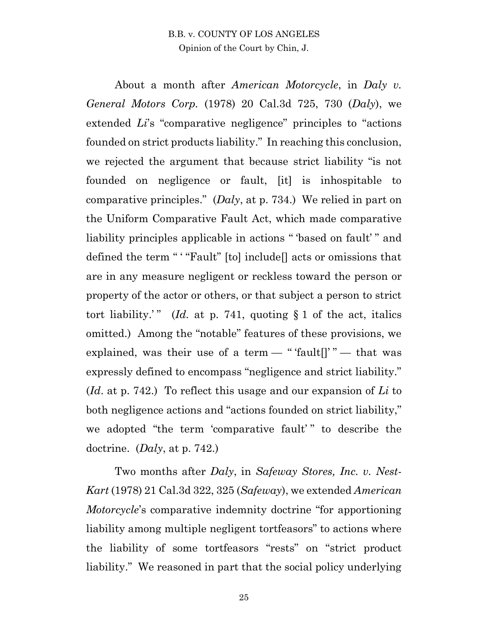About a month after *American Motorcycle*, in *Daly v. General Motors Corp.* (1978) 20 Cal.3d 725, 730 (*Daly*), we extended *Li*'s "comparative negligence" principles to "actions founded on strict products liability." In reaching this conclusion, we rejected the argument that because strict liability "is not founded on negligence or fault, [it] is inhospitable to comparative principles." (*Daly*, at p. 734.) We relied in part on the Uniform Comparative Fault Act, which made comparative liability principles applicable in actions "based on fault'" and defined the term " ' "Fault" [to] include<sup>[]</sup> acts or omissions that are in any measure negligent or reckless toward the person or property of the actor or others, or that subject a person to strict tort liability.'" (*Id.* at p. 741, quoting  $\S 1$  of the act, italics omitted.) Among the "notable" features of these provisions, we explained, was their use of a term  $-$  " 'fault<sup>[]</sup>"  $-$  that was expressly defined to encompass "negligence and strict liability." (*Id*. at p. 742.) To reflect this usage and our expansion of *Li* to both negligence actions and "actions founded on strict liability," we adopted "the term 'comparative fault'" to describe the doctrine. (*Daly*, at p. 742.)

Two months after *Daly*, in *Safeway Stores, Inc. v. Nest-Kart* (1978) 21 Cal.3d 322, 325 (*Safeway*), we extended *American Motorcycle*'s comparative indemnity doctrine "for apportioning liability among multiple negligent tortfeasors" to actions where the liability of some tortfeasors "rests" on "strict product liability." We reasoned in part that the social policy underlying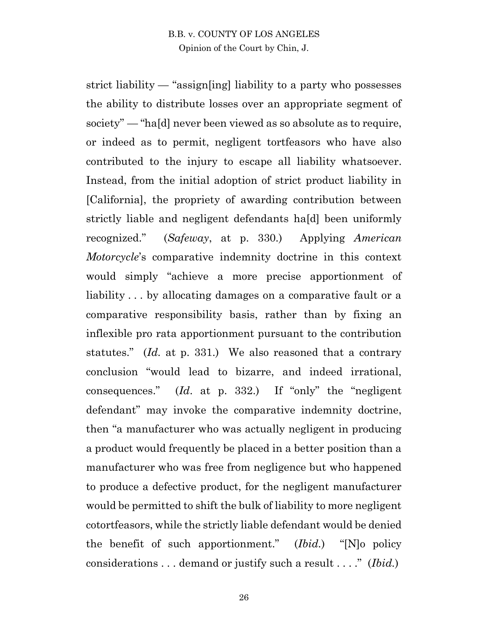strict liability — "assign[ing] liability to a party who possesses the ability to distribute losses over an appropriate segment of society" — "ha[d] never been viewed as so absolute as to require, or indeed as to permit, negligent tortfeasors who have also contributed to the injury to escape all liability whatsoever. Instead, from the initial adoption of strict product liability in [California], the propriety of awarding contribution between strictly liable and negligent defendants ha[d] been uniformly recognized." (*Safeway*, at p. 330.) Applying *American Motorcycle*'s comparative indemnity doctrine in this context would simply "achieve a more precise apportionment of liability... by allocating damages on a comparative fault or a comparative responsibility basis, rather than by fixing an inflexible pro rata apportionment pursuant to the contribution statutes." (*Id.* at p. 331.) We also reasoned that a contrary conclusion "would lead to bizarre, and indeed irrational, consequences." (*Id*. at p. 332.) If "only" the "negligent defendant" may invoke the comparative indemnity doctrine, then "a manufacturer who was actually negligent in producing a product would frequently be placed in a better position than a manufacturer who was free from negligence but who happened to produce a defective product, for the negligent manufacturer would be permitted to shift the bulk of liability to more negligent cotortfeasors, while the strictly liable defendant would be denied the benefit of such apportionment." (*Ibid.*) "[N]o policy considerations . . . demand or justify such a result . . . ." (*Ibid.*)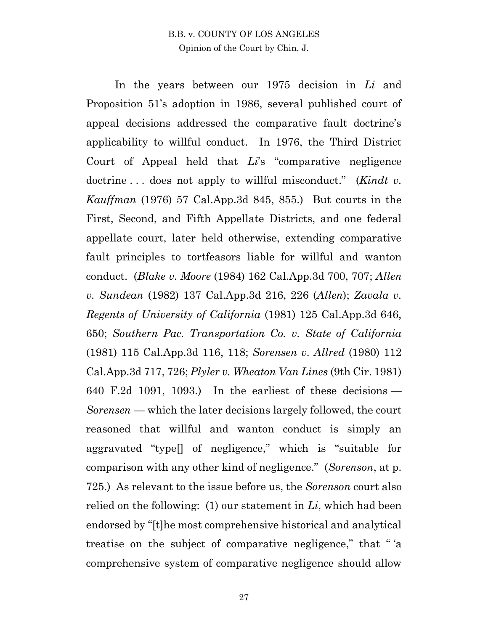In the years between our 1975 decision in *Li* and Proposition 51's adoption in 1986, several published court of appeal decisions addressed the comparative fault doctrine's applicability to willful conduct. In 1976, the Third District Court of Appeal held that *Li*'s "comparative negligence doctrine . . . does not apply to willful misconduct." (*Kindt v. Kauffman* (1976) 57 Cal.App.3d 845, 855.) But courts in the First, Second, and Fifth Appellate Districts, and one federal appellate court, later held otherwise, extending comparative fault principles to tortfeasors liable for willful and wanton conduct. (*Blake v. Moore* (1984) 162 Cal.App.3d 700, 707; *Allen v. Sundean* (1982) 137 Cal.App.3d 216, 226 (*Allen*); *Zavala v. Regents of University of California* (1981) 125 Cal.App.3d 646, 650; *Southern Pac. Transportation Co. v. State of California* (1981) 115 Cal.App.3d 116, 118; *Sorensen v. Allred* (1980) 112 Cal.App.3d 717, 726; *Plyler v. Wheaton Van Lines* (9th Cir. 1981) 640 F.2d 1091, 1093.) In the earliest of these decisions — *Sorensen —* which the later decisions largely followed, the court reasoned that willful and wanton conduct is simply an aggravated "type[] of negligence," which is "suitable for comparison with any other kind of negligence." (*Sorenson*, at p. 725.) As relevant to the issue before us, the *Sorenson* court also relied on the following: (1) our statement in *Li*, which had been endorsed by "[t]he most comprehensive historical and analytical treatise on the subject of comparative negligence," that " 'a comprehensive system of comparative negligence should allow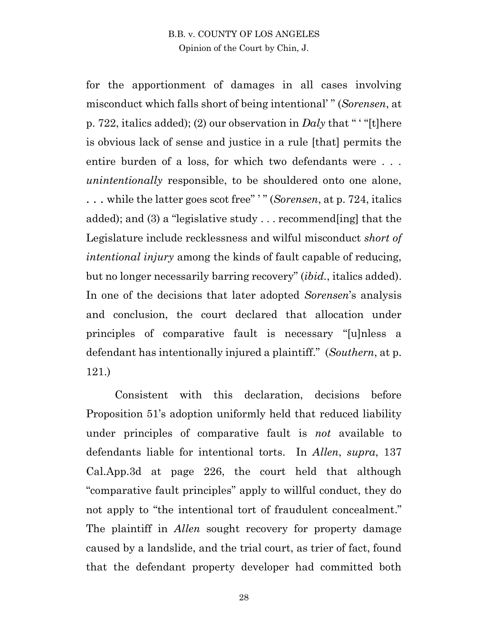for the apportionment of damages in all cases involving misconduct which falls short of being intentional' " (*Sorensen*, at p. 722, italics added); (2) our observation in *Daly* that " ' "[t]here is obvious lack of sense and justice in a rule [that] permits the entire burden of a loss, for which two defendants were . . . *unintentionally* responsible, to be shouldered onto one alone, . . . while the latter goes scot free" ' " (*Sorensen*, at p. 724, italics added); and (3) a "legislative study . . . recommend[ing] that the Legislature include recklessness and wilful misconduct *short of intentional injury* among the kinds of fault capable of reducing, but no longer necessarily barring recovery" (*ibid.*, italics added). In one of the decisions that later adopted *Sorensen*'s analysis and conclusion, the court declared that allocation under principles of comparative fault is necessary "[u]nless a defendant has intentionally injured a plaintiff." (*Southern*, at p. 121.)

Consistent with this declaration, decisions before Proposition 51's adoption uniformly held that reduced liability under principles of comparative fault is *not* available to defendants liable for intentional torts. In *Allen*, *supra*, 137 Cal.App.3d at page 226, the court held that although "comparative fault principles" apply to willful conduct, they do not apply to "the intentional tort of fraudulent concealment." The plaintiff in *Allen* sought recovery for property damage caused by a landslide, and the trial court, as trier of fact, found that the defendant property developer had committed both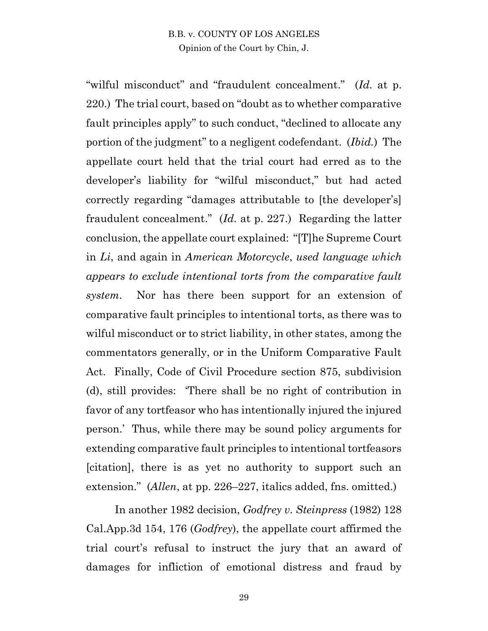"wilful misconduct" and "fraudulent concealment." (*Id.* at p. 220.) The trial court, based on "doubt as to whether comparative fault principles apply" to such conduct, "declined to allocate any portion of the judgment" to a negligent codefendant. (*Ibid.*) The appellate court held that the trial court had erred as to the developer's liability for "wilful misconduct," but had acted correctly regarding "damages attributable to [the developer's] fraudulent concealment." (*Id.* at p. 227.) Regarding the latter conclusion, the appellate court explained: "[T]he Supreme Court in *Li*, and again in *American Motorcycle*, *used language which appears to exclude intentional torts from the comparative fault system*. Nor has there been support for an extension of comparative fault principles to intentional torts, as there was to wilful misconduct or to strict liability, in other states, among the commentators generally, or in the Uniform Comparative Fault Act. Finally, Code of Civil Procedure section 875, subdivision (d), still provides: 'There shall be no right of contribution in favor of any tortfeasor who has intentionally injured the injured person.' Thus, while there may be sound policy arguments for extending comparative fault principles to intentional tortfeasors [citation], there is as yet no authority to support such an extension." (*Allen*, at pp. 226–227, italics added, fns. omitted.)

In another 1982 decision, *Godfrey v. Steinpress* (1982) 128 Cal.App.3d 154, 176 (*Godfrey*), the appellate court affirmed the trial court's refusal to instruct the jury that an award of damages for infliction of emotional distress and fraud by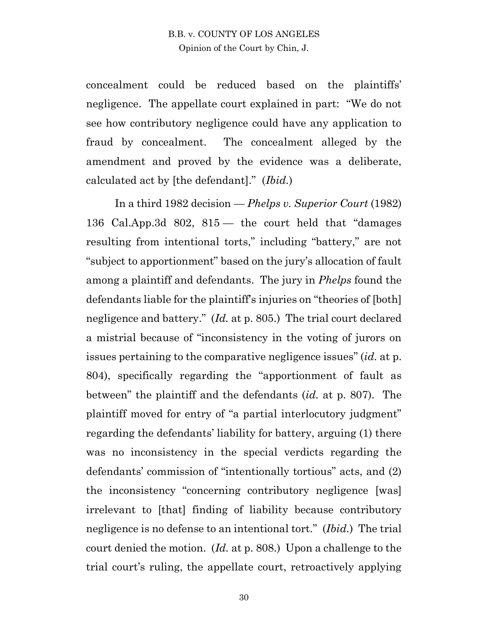concealment could be reduced based on the plaintiffs' negligence. The appellate court explained in part: "We do not see how contributory negligence could have any application to fraud by concealment. The concealment alleged by the amendment and proved by the evidence was a deliberate, calculated act by [the defendant]." (*Ibid.*)

In a third 1982 decision — *Phelps v. Superior Court* (1982) 136 Cal.App.3d 802, 815 — the court held that "damages resulting from intentional torts," including "battery," are not "subject to apportionment" based on the jury's allocation of fault among a plaintiff and defendants. The jury in *Phelps* found the defendants liable for the plaintiff's injuries on "theories of [both] negligence and battery." (*Id.* at p. 805.) The trial court declared a mistrial because of "inconsistency in the voting of jurors on issues pertaining to the comparative negligence issues" (*id.* at p. 804), specifically regarding the "apportionment of fault as between" the plaintiff and the defendants (*id.* at p. 807). The plaintiff moved for entry of "a partial interlocutory judgment" regarding the defendants' liability for battery, arguing (1) there was no inconsistency in the special verdicts regarding the defendants' commission of "intentionally tortious" acts, and (2) the inconsistency "concerning contributory negligence [was] irrelevant to [that] finding of liability because contributory negligence is no defense to an intentional tort." (*Ibid.*) The trial court denied the motion. (*Id.* at p. 808.) Upon a challenge to the trial court's ruling, the appellate court, retroactively applying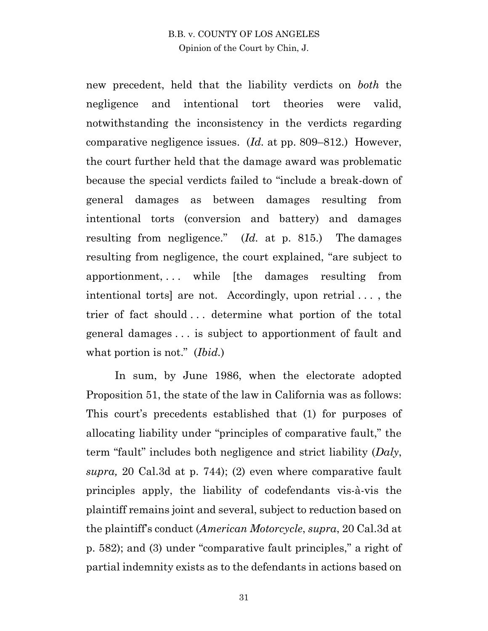new precedent, held that the liability verdicts on *both* the negligence and intentional tort theories were valid, notwithstanding the inconsistency in the verdicts regarding comparative negligence issues. (*Id.* at pp. 809–812.) However, the court further held that the damage award was problematic because the special verdicts failed to "include a break-down of general damages as between damages resulting from intentional torts (conversion and battery) and damages resulting from negligence." (*Id.* at p. 815.) The damages resulting from negligence, the court explained, "are subject to apportionment, . . . while [the damages resulting from intentional torts] are not. Accordingly, upon retrial . . . , the trier of fact should . . . determine what portion of the total general damages . . . is subject to apportionment of fault and what portion is not." (*Ibid.*)

In sum, by June 1986, when the electorate adopted Proposition 51, the state of the law in California was as follows: This court's precedents established that (1) for purposes of allocating liability under "principles of comparative fault," the term "fault" includes both negligence and strict liability (*Daly*, *supra,* 20 Cal.3d at p. 744); (2) even where comparative fault principles apply, the liability of codefendants vis-à-vis the plaintiff remains joint and several, subject to reduction based on the plaintiff's conduct (*American Motorcycle*, *supra*, 20 Cal.3d at p. 582); and (3) under "comparative fault principles," a right of partial indemnity exists as to the defendants in actions based on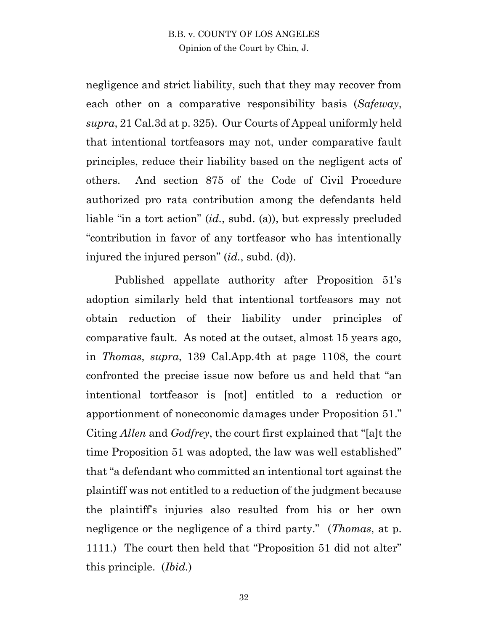negligence and strict liability, such that they may recover from each other on a comparative responsibility basis (*Safeway*, *supra*, 21 Cal.3d at p. 325). Our Courts of Appeal uniformly held that intentional tortfeasors may not, under comparative fault principles, reduce their liability based on the negligent acts of others. And section 875 of the Code of Civil Procedure authorized pro rata contribution among the defendants held liable "in a tort action" (*id.*, subd. (a)), but expressly precluded "contribution in favor of any tortfeasor who has intentionally injured the injured person" (*id.*, subd. (d)).

Published appellate authority after Proposition 51's adoption similarly held that intentional tortfeasors may not obtain reduction of their liability under principles of comparative fault. As noted at the outset, almost 15 years ago, in *Thomas*, *supra*, 139 Cal.App.4th at page 1108, the court confronted the precise issue now before us and held that "an intentional tortfeasor is [not] entitled to a reduction or apportionment of noneconomic damages under Proposition 51." Citing *Allen* and *Godfrey*, the court first explained that "[a]t the time Proposition 51 was adopted, the law was well established" that "a defendant who committed an intentional tort against the plaintiff was not entitled to a reduction of the judgment because the plaintiff's injuries also resulted from his or her own negligence or the negligence of a third party." (*Thomas*, at p. 1111.) The court then held that "Proposition 51 did not alter" this principle. (*Ibid.*)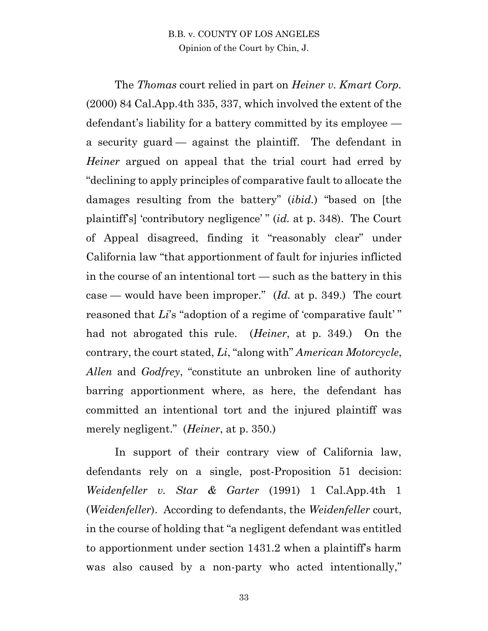The *Thomas* court relied in part on *Heiner v. Kmart Corp.* (2000) 84 Cal.App.4th 335, 337, which involved the extent of the defendant's liability for a battery committed by its employee a security guard — against the plaintiff. The defendant in *Heiner* argued on appeal that the trial court had erred by "declining to apply principles of comparative fault to allocate the damages resulting from the battery" (*ibid.*) "based on [the plaintiff's] 'contributory negligence' " (*id.* at p. 348). The Court of Appeal disagreed, finding it "reasonably clear" under California law "that apportionment of fault for injuries inflicted in the course of an intentional tort — such as the battery in this case — would have been improper." (*Id.* at p. 349.) The court reasoned that *Li*'s "adoption of a regime of 'comparative fault'" had not abrogated this rule. (*Heiner*, at p. 349.) On the contrary, the court stated, *Li*, "along with" *American Motorcycle*, *Allen* and *Godfrey*, "constitute an unbroken line of authority barring apportionment where, as here, the defendant has committed an intentional tort and the injured plaintiff was merely negligent." (*Heiner*, at p. 350.)

In support of their contrary view of California law, defendants rely on a single, post-Proposition 51 decision: *Weidenfeller v. Star & Garter* (1991) 1 Cal.App.4th 1 (*Weidenfeller*). According to defendants, the *Weidenfeller* court, in the course of holding that "a negligent defendant was entitled to apportionment under section 1431.2 when a plaintiff's harm was also caused by a non-party who acted intentionally,"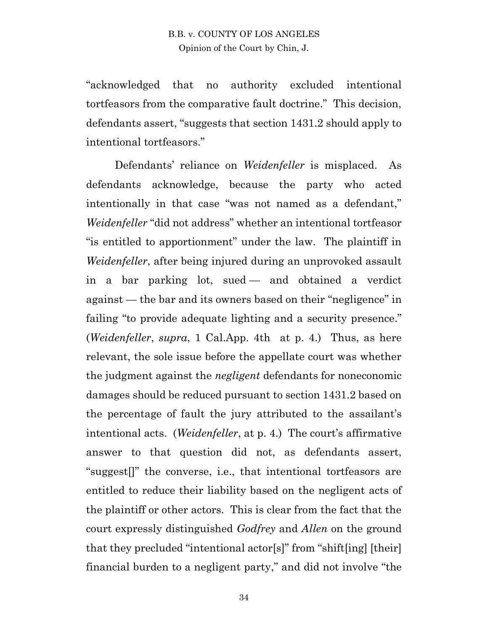"acknowledged that no authority excluded intentional tortfeasors from the comparative fault doctrine." This decision, defendants assert, "suggests that section 1431.2 should apply to intentional tortfeasors."

Defendants' reliance on *Weidenfeller* is misplaced. As defendants acknowledge, because the party who acted intentionally in that case "was not named as a defendant," *Weidenfeller* "did not address" whether an intentional tortfeasor "is entitled to apportionment" under the law. The plaintiff in *Weidenfeller*, after being injured during an unprovoked assault in a bar parking lot, sued — and obtained a verdict against — the bar and its owners based on their "negligence" in failing "to provide adequate lighting and a security presence." (*Weidenfeller*, *supra*, 1 Cal.App. 4th at p. 4.) Thus, as here relevant, the sole issue before the appellate court was whether the judgment against the *negligent* defendants for noneconomic damages should be reduced pursuant to section 1431.2 based on the percentage of fault the jury attributed to the assailant's intentional acts. (*Weidenfeller*, at p. 4.) The court's affirmative answer to that question did not, as defendants assert, "suggest[]" the converse, i.e., that intentional tortfeasors are entitled to reduce their liability based on the negligent acts of the plaintiff or other actors. This is clear from the fact that the court expressly distinguished *Godfrey* and *Allen* on the ground that they precluded "intentional actor[s]" from "shift[ing] [their] financial burden to a negligent party," and did not involve "the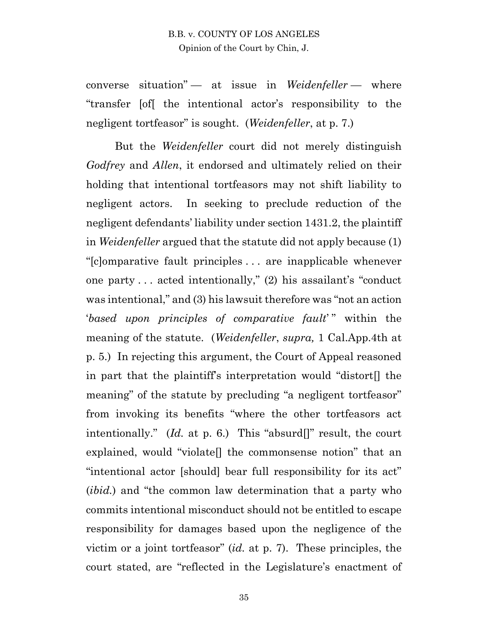converse situation" — at issue in *Weidenfeller* — where "transfer [of[ the intentional actor's responsibility to the negligent tortfeasor" is sought. (*Weidenfeller*, at p. 7.)

But the *Weidenfeller* court did not merely distinguish *Godfrey* and *Allen*, it endorsed and ultimately relied on their holding that intentional tortfeasors may not shift liability to negligent actors. In seeking to preclude reduction of the negligent defendants' liability under section 1431.2, the plaintiff in *Weidenfeller* argued that the statute did not apply because (1) "[c]omparative fault principles . . . are inapplicable whenever one party . . . acted intentionally," (2) his assailant's "conduct was intentional," and (3) his lawsuit therefore was "not an action '*based upon principles of comparative fault*' " within the meaning of the statute. (*Weidenfeller*, *supra,* 1 Cal.App.4th at p. 5.) In rejecting this argument, the Court of Appeal reasoned in part that the plaintiff's interpretation would "distort[] the meaning" of the statute by precluding "a negligent tortfeasor" from invoking its benefits "where the other tortfeasors act intentionally." (*Id.* at p. 6.) This "absurd[]" result, the court explained, would "violate[] the commonsense notion" that an "intentional actor [should] bear full responsibility for its act" (*ibid.*) and "the common law determination that a party who commits intentional misconduct should not be entitled to escape responsibility for damages based upon the negligence of the victim or a joint tortfeasor" (*id.* at p. 7). These principles, the court stated, are "reflected in the Legislature's enactment of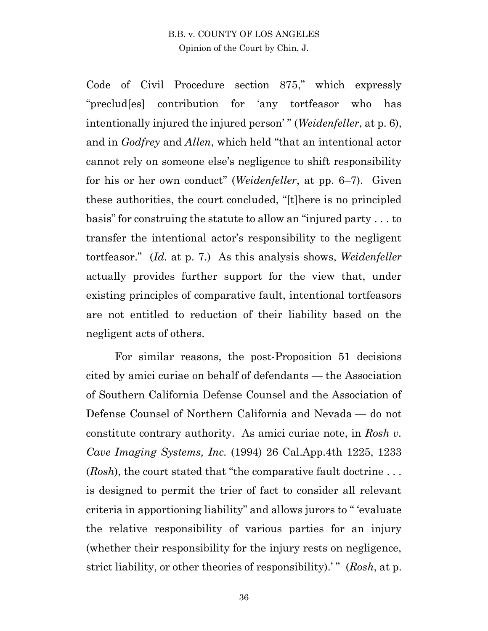Code of Civil Procedure section 875," which expressly "preclud[es] contribution for 'any tortfeasor who has intentionally injured the injured person' " (*Weidenfeller*, at p. 6), and in *Godfrey* and *Allen*, which held "that an intentional actor cannot rely on someone else's negligence to shift responsibility for his or her own conduct" (*Weidenfeller*, at pp. 6–7). Given these authorities, the court concluded, "[t]here is no principled basis" for construing the statute to allow an "injured party . . . to transfer the intentional actor's responsibility to the negligent tortfeasor." (*Id.* at p. 7.) As this analysis shows, *Weidenfeller* actually provides further support for the view that, under existing principles of comparative fault, intentional tortfeasors are not entitled to reduction of their liability based on the negligent acts of others.

For similar reasons, the post-Proposition 51 decisions cited by amici curiae on behalf of defendants — the Association of Southern California Defense Counsel and the Association of Defense Counsel of Northern California and Nevada — do not constitute contrary authority. As amici curiae note, in *Rosh v. Cave Imaging Systems, Inc.* (1994) 26 Cal.App.4th 1225, 1233 (*Rosh*), the court stated that "the comparative fault doctrine . . . is designed to permit the trier of fact to consider all relevant criteria in apportioning liability" and allows jurors to " 'evaluate the relative responsibility of various parties for an injury (whether their responsibility for the injury rests on negligence, strict liability, or other theories of responsibility).' " (*Rosh*, at p.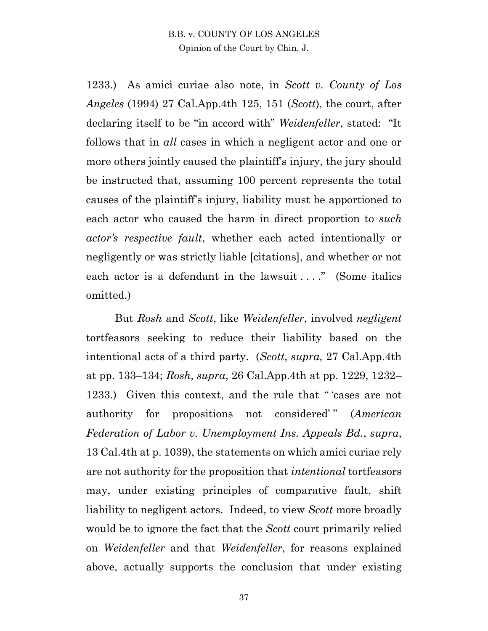1233.) As amici curiae also note, in *Scott v. County of Los Angeles* (1994) 27 Cal.App.4th 125, 151 (*Scott*), the court, after declaring itself to be "in accord with" *Weidenfeller*, stated: "It follows that in *all* cases in which a negligent actor and one or more others jointly caused the plaintiff's injury, the jury should be instructed that, assuming 100 percent represents the total causes of the plaintiff's injury, liability must be apportioned to each actor who caused the harm in direct proportion to *such actor's respective fault*, whether each acted intentionally or negligently or was strictly liable [citations], and whether or not each actor is a defendant in the lawsuit ...." (Some italics omitted.)

But *Rosh* and *Scott*, like *Weidenfeller*, involved *negligent*  tortfeasors seeking to reduce their liability based on the intentional acts of a third party. (*Scott*, *supra,* 27 Cal.App.4th at pp. 133–134; *Rosh*, *supra*, 26 Cal.App.4th at pp. 1229, 1232– 1233.) Given this context, and the rule that " 'cases are not authority for propositions not considered'" (*American Federation of Labor v. Unemployment Ins. Appeals Bd.*, *supra*, 13 Cal.4th at p. 1039), the statements on which amici curiae rely are not authority for the proposition that *intentional* tortfeasors may, under existing principles of comparative fault, shift liability to negligent actors. Indeed, to view *Scott* more broadly would be to ignore the fact that the *Scott* court primarily relied on *Weidenfeller* and that *Weidenfeller*, for reasons explained above, actually supports the conclusion that under existing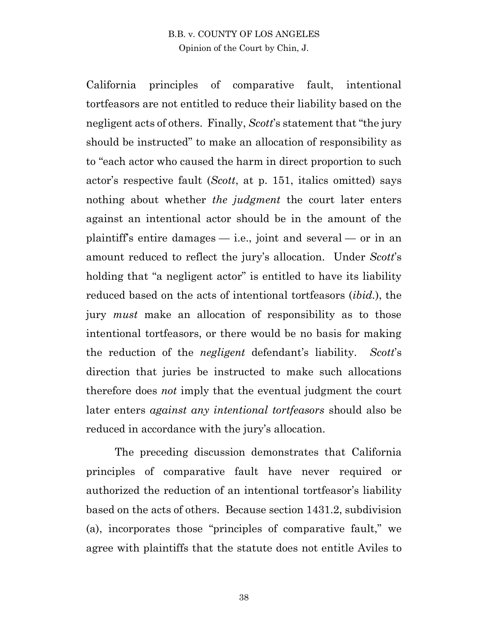California principles of comparative fault, intentional tortfeasors are not entitled to reduce their liability based on the negligent acts of others. Finally, *Scott*'s statement that "the jury should be instructed" to make an allocation of responsibility as to "each actor who caused the harm in direct proportion to such actor's respective fault (*Scott*, at p. 151, italics omitted) says nothing about whether *the judgment* the court later enters against an intentional actor should be in the amount of the plaintiff's entire damages — i.e., joint and several — or in an amount reduced to reflect the jury's allocation. Under *Scott*'s holding that "a negligent actor" is entitled to have its liability reduced based on the acts of intentional tortfeasors (*ibid.*), the jury *must* make an allocation of responsibility as to those intentional tortfeasors, or there would be no basis for making the reduction of the *negligent* defendant's liability. *Scott*'s direction that juries be instructed to make such allocations therefore does *not* imply that the eventual judgment the court later enters *against any intentional tortfeasors* should also be reduced in accordance with the jury's allocation.

The preceding discussion demonstrates that California principles of comparative fault have never required or authorized the reduction of an intentional tortfeasor's liability based on the acts of others. Because section 1431.2, subdivision (a), incorporates those "principles of comparative fault," we agree with plaintiffs that the statute does not entitle Aviles to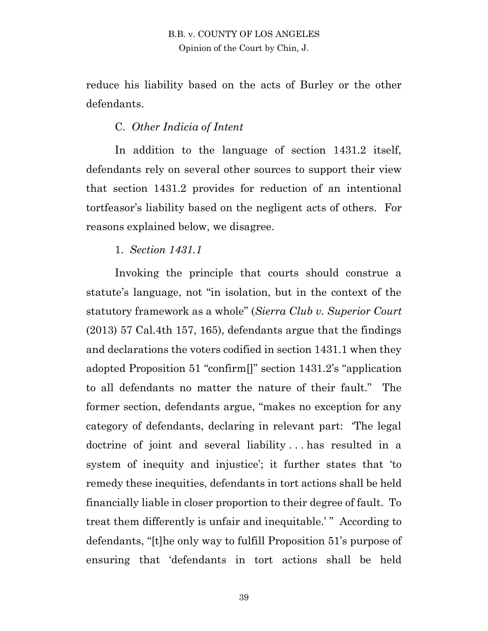reduce his liability based on the acts of Burley or the other defendants.

#### C. *Other Indicia of Intent*

In addition to the language of section 1431.2 itself, defendants rely on several other sources to support their view that section 1431.2 provides for reduction of an intentional tortfeasor's liability based on the negligent acts of others. For reasons explained below, we disagree.

#### 1. *Section 1431.1*

Invoking the principle that courts should construe a statute's language, not "in isolation, but in the context of the statutory framework as a whole" (*Sierra Club v. Superior Court* (2013) 57 Cal.4th 157, 165), defendants argue that the findings and declarations the voters codified in section 1431.1 when they adopted Proposition 51 "confirm[]" section 1431.2's "application to all defendants no matter the nature of their fault." The former section, defendants argue, "makes no exception for any category of defendants, declaring in relevant part: 'The legal doctrine of joint and several liability . . . has resulted in a system of inequity and injustice'; it further states that 'to remedy these inequities, defendants in tort actions shall be held financially liable in closer proportion to their degree of fault. To treat them differently is unfair and inequitable.'" According to defendants, "[t]he only way to fulfill Proposition 51's purpose of ensuring that 'defendants in tort actions shall be held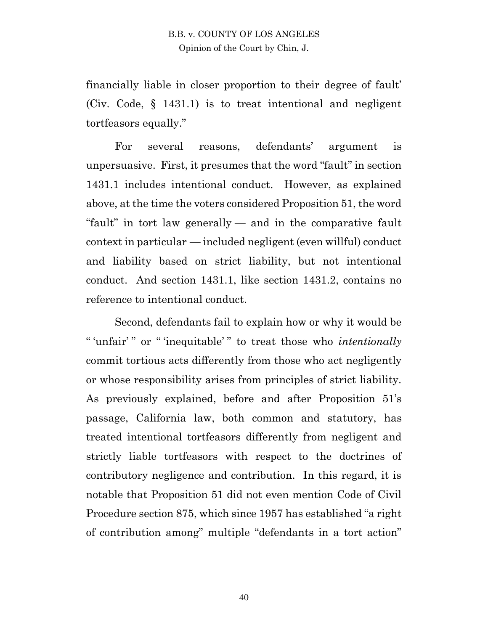financially liable in closer proportion to their degree of fault' (Civ. Code, § 1431.1) is to treat intentional and negligent tortfeasors equally."

For several reasons, defendants' argument is unpersuasive. First, it presumes that the word "fault" in section 1431.1 includes intentional conduct. However, as explained above, at the time the voters considered Proposition 51, the word "fault" in tort law generally — and in the comparative fault context in particular — included negligent (even willful) conduct and liability based on strict liability, but not intentional conduct. And section 1431.1, like section 1431.2, contains no reference to intentional conduct.

Second, defendants fail to explain how or why it would be " 'unfair' " or " 'inequitable' " to treat those who *intentionally* commit tortious acts differently from those who act negligently or whose responsibility arises from principles of strict liability. As previously explained, before and after Proposition 51's passage, California law, both common and statutory, has treated intentional tortfeasors differently from negligent and strictly liable tortfeasors with respect to the doctrines of contributory negligence and contribution. In this regard, it is notable that Proposition 51 did not even mention Code of Civil Procedure section 875, which since 1957 has established "a right of contribution among" multiple "defendants in a tort action"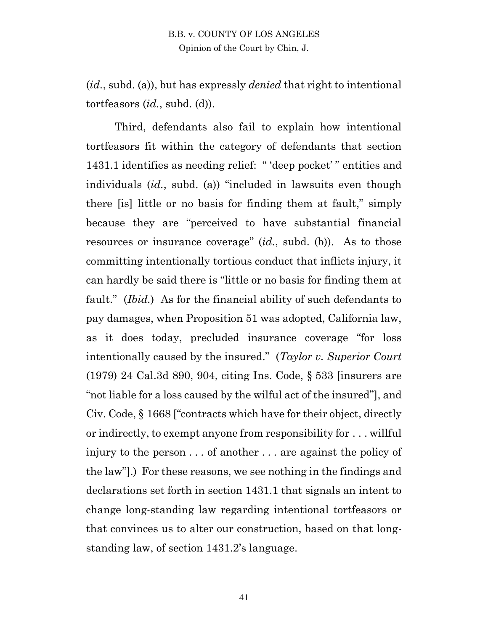(*id.*, subd. (a)), but has expressly *denied* that right to intentional tortfeasors (*id.*, subd. (d)).

Third, defendants also fail to explain how intentional tortfeasors fit within the category of defendants that section 1431.1 identifies as needing relief: " 'deep pocket' " entities and individuals (*id.*, subd. (a)) "included in lawsuits even though there [is] little or no basis for finding them at fault," simply because they are "perceived to have substantial financial resources or insurance coverage" (*id.*, subd. (b)). As to those committing intentionally tortious conduct that inflicts injury, it can hardly be said there is "little or no basis for finding them at fault." (*Ibid.*) As for the financial ability of such defendants to pay damages, when Proposition 51 was adopted, California law, as it does today, precluded insurance coverage "for loss intentionally caused by the insured." (*Taylor v. Superior Court* (1979) 24 Cal.3d 890, 904, citing Ins. Code, § 533 [insurers are "not liable for a loss caused by the wilful act of the insured"], and Civ. Code, § 1668 ["contracts which have for their object, directly or indirectly, to exempt anyone from responsibility for . . . willful injury to the person . . . of another . . . are against the policy of the law"].) For these reasons, we see nothing in the findings and declarations set forth in section 1431.1 that signals an intent to change long-standing law regarding intentional tortfeasors or that convinces us to alter our construction, based on that longstanding law, of section 1431.2's language.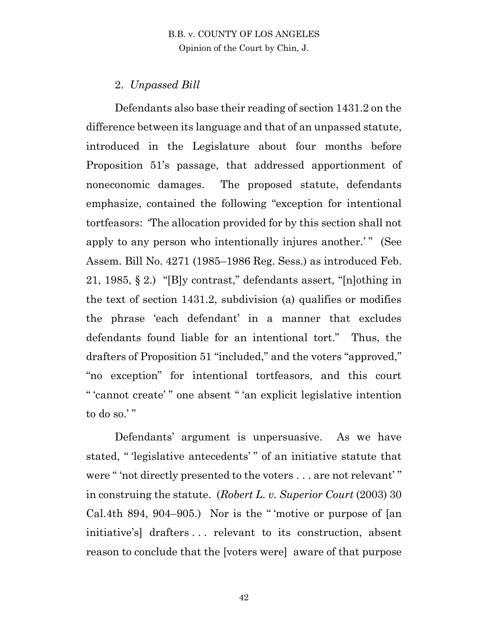## 2. *Unpassed Bill*

Defendants also base their reading of section 1431.2 on the difference between its language and that of an unpassed statute, introduced in the Legislature about four months before Proposition 51's passage, that addressed apportionment of noneconomic damages. The proposed statute, defendants emphasize, contained the following "exception for intentional tortfeasors: 'The allocation provided for by this section shall not apply to any person who intentionally injures another.'" (See Assem. Bill No. 4271 (1985–1986 Reg. Sess.) as introduced Feb. 21, 1985, § 2.) "[B]y contrast," defendants assert, "[n]othing in the text of section 1431.2, subdivision (a) qualifies or modifies the phrase 'each defendant' in a manner that excludes defendants found liable for an intentional tort." Thus, the drafters of Proposition 51 "included," and the voters "approved," "no exception" for intentional tortfeasors, and this court " 'cannot create' " one absent " 'an explicit legislative intention to do so.'"

Defendants' argument is unpersuasive. As we have stated, " 'legislative antecedents' " of an initiative statute that were " 'not directly presented to the voters . . . are not relevant' " in construing the statute. (*Robert L. v. Superior Court* (2003) 30 Cal.4th 894, 904–905.) Nor is the " 'motive or purpose of [an initiative's] drafters . . . relevant to its construction, absent reason to conclude that the [voters were] aware of that purpose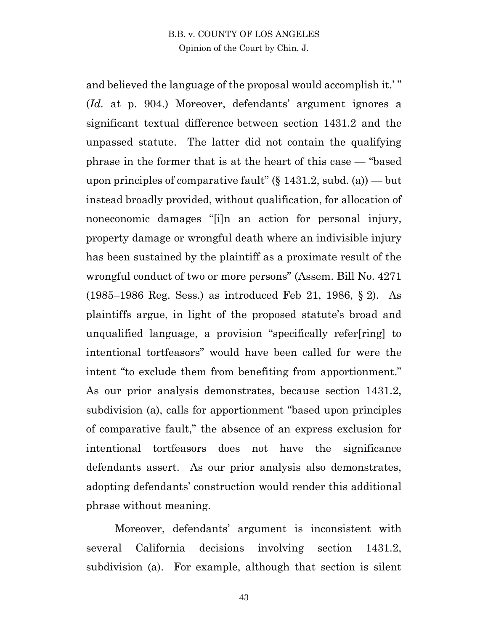and believed the language of the proposal would accomplish it.' " (*Id.* at p. 904.) Moreover, defendants' argument ignores a significant textual difference between section 1431.2 and the unpassed statute. The latter did not contain the qualifying phrase in the former that is at the heart of this case — "based upon principles of comparative fault" (§ 1431.2, subd. (a)) — but instead broadly provided, without qualification, for allocation of noneconomic damages "[i]n an action for personal injury, property damage or wrongful death where an indivisible injury has been sustained by the plaintiff as a proximate result of the wrongful conduct of two or more persons" (Assem. Bill No. 4271 (1985–1986 Reg. Sess.) as introduced Feb 21, 1986, § 2). As plaintiffs argue, in light of the proposed statute's broad and unqualified language, a provision "specifically refer[ring] to intentional tortfeasors" would have been called for were the intent "to exclude them from benefiting from apportionment." As our prior analysis demonstrates, because section 1431.2, subdivision (a), calls for apportionment "based upon principles of comparative fault," the absence of an express exclusion for intentional tortfeasors does not have the significance defendants assert. As our prior analysis also demonstrates, adopting defendants' construction would render this additional phrase without meaning.

Moreover, defendants' argument is inconsistent with several California decisions involving section 1431.2, subdivision (a). For example, although that section is silent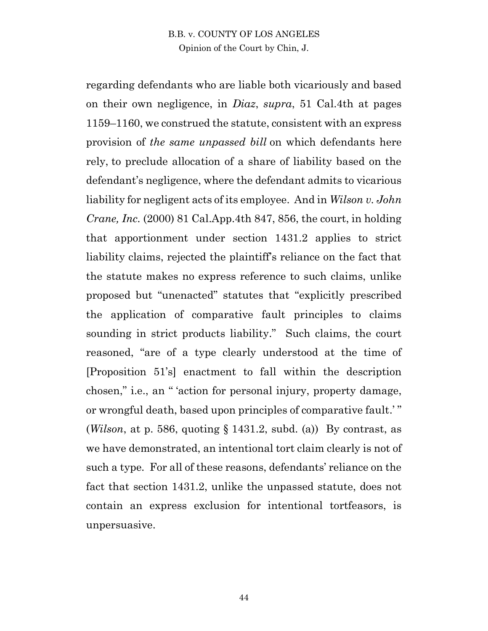regarding defendants who are liable both vicariously and based on their own negligence, in *Diaz*, *supra*, 51 Cal.4th at pages 1159–1160, we construed the statute, consistent with an express provision of *the same unpassed bill* on which defendants here rely, to preclude allocation of a share of liability based on the defendant's negligence, where the defendant admits to vicarious liability for negligent acts of its employee. And in *Wilson v. John Crane, Inc.* (2000) 81 Cal.App.4th 847, 856, the court, in holding that apportionment under section 1431.2 applies to strict liability claims, rejected the plaintiff's reliance on the fact that the statute makes no express reference to such claims, unlike proposed but "unenacted" statutes that "explicitly prescribed the application of comparative fault principles to claims sounding in strict products liability." Such claims, the court reasoned, "are of a type clearly understood at the time of [Proposition 51's] enactment to fall within the description chosen," i.e., an " 'action for personal injury, property damage, or wrongful death, based upon principles of comparative fault.' " (*Wilson*, at p. 586, quoting  $\S 1431.2$ , subd. (a)) By contrast, as we have demonstrated, an intentional tort claim clearly is not of such a type*.* For all of these reasons, defendants' reliance on the fact that section 1431.2, unlike the unpassed statute, does not contain an express exclusion for intentional tortfeasors, is unpersuasive.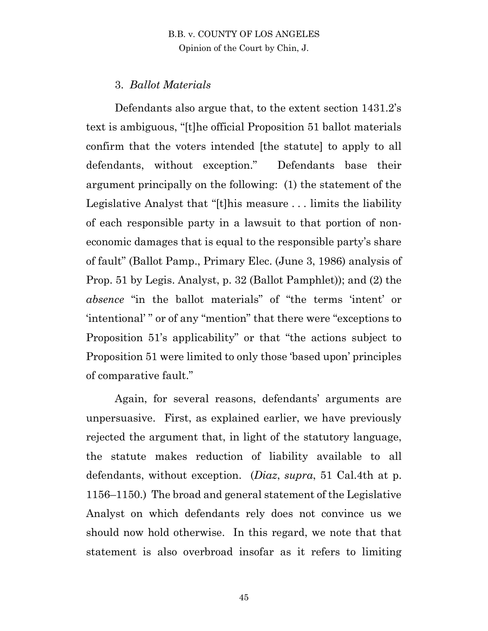# 3. *Ballot Materials*

Defendants also argue that, to the extent section 1431.2's text is ambiguous, "[t]he official Proposition 51 ballot materials confirm that the voters intended [the statute] to apply to all defendants, without exception." Defendants base their argument principally on the following: (1) the statement of the Legislative Analyst that "[t]his measure . . . limits the liability of each responsible party in a lawsuit to that portion of noneconomic damages that is equal to the responsible party's share of fault" (Ballot Pamp., Primary Elec. (June 3, 1986) analysis of Prop. 51 by Legis. Analyst, p. 32 (Ballot Pamphlet)); and (2) the *absence* "in the ballot materials" of "the terms 'intent' or 'intentional' " or of any "mention" that there were "exceptions to Proposition 51's applicability" or that "the actions subject to Proposition 51 were limited to only those 'based upon' principles of comparative fault."

Again, for several reasons, defendants' arguments are unpersuasive. First, as explained earlier, we have previously rejected the argument that, in light of the statutory language, the statute makes reduction of liability available to all defendants, without exception. (*Diaz*, *supra*, 51 Cal.4th at p. 1156–1150.) The broad and general statement of the Legislative Analyst on which defendants rely does not convince us we should now hold otherwise. In this regard, we note that that statement is also overbroad insofar as it refers to limiting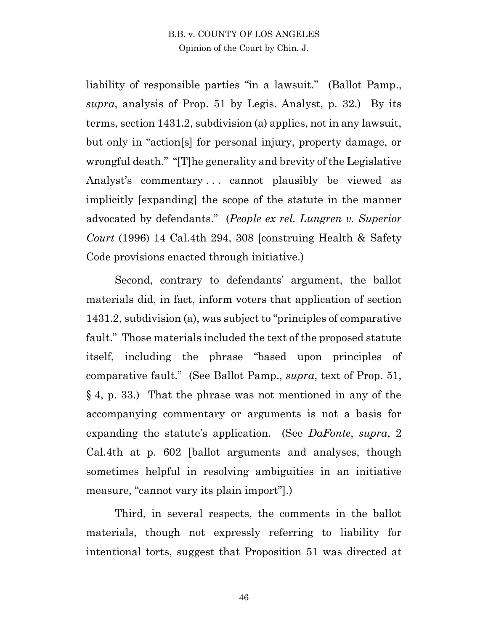liability of responsible parties "in a lawsuit." (Ballot Pamp., *supra*, analysis of Prop. 51 by Legis. Analyst, p. 32.) By its terms, section 1431.2, subdivision (a) applies, not in any lawsuit, but only in "action[s] for personal injury, property damage, or wrongful death." "[T]he generality and brevity of the Legislative Analyst's commentary ... cannot plausibly be viewed as implicitly [expanding] the scope of the statute in the manner advocated by defendants." (*People ex rel. Lungren v. Superior Court* (1996) 14 Cal.4th 294, 308 [construing Health & Safety Code provisions enacted through initiative.)

Second, contrary to defendants' argument, the ballot materials did, in fact, inform voters that application of section 1431.2, subdivision (a), was subject to "principles of comparative fault." Those materials included the text of the proposed statute itself, including the phrase "based upon principles of comparative fault." (See Ballot Pamp., *supra*, text of Prop. 51, § 4, p. 33.) That the phrase was not mentioned in any of the accompanying commentary or arguments is not a basis for expanding the statute's application. (See *DaFonte*, *supra*, 2 Cal.4th at p. 602 [ballot arguments and analyses, though sometimes helpful in resolving ambiguities in an initiative measure, "cannot vary its plain import"].)

Third, in several respects, the comments in the ballot materials, though not expressly referring to liability for intentional torts, suggest that Proposition 51 was directed at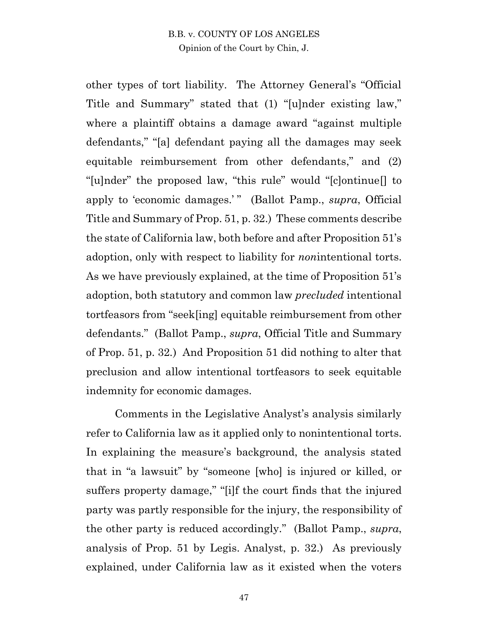other types of tort liability. The Attorney General's "Official Title and Summary" stated that (1) "[u]nder existing law," where a plaintiff obtains a damage award "against multiple defendants," "[a] defendant paying all the damages may seek equitable reimbursement from other defendants," and (2) "[u]nder" the proposed law, "this rule" would "[c]ontinue[] to apply to 'economic damages.'" (Ballot Pamp., *supra*, Official Title and Summary of Prop. 51, p. 32.) These comments describe the state of California law, both before and after Proposition 51's adoption, only with respect to liability for *non*intentional torts. As we have previously explained, at the time of Proposition 51's adoption, both statutory and common law *precluded* intentional tortfeasors from "seek[ing] equitable reimbursement from other defendants." (Ballot Pamp., *supra*, Official Title and Summary of Prop. 51, p. 32*.*) And Proposition 51 did nothing to alter that preclusion and allow intentional tortfeasors to seek equitable indemnity for economic damages.

Comments in the Legislative Analyst's analysis similarly refer to California law as it applied only to nonintentional torts. In explaining the measure's background, the analysis stated that in "a lawsuit" by "someone [who] is injured or killed, or suffers property damage," "[i]f the court finds that the injured party was partly responsible for the injury, the responsibility of the other party is reduced accordingly." (Ballot Pamp., *supra*, analysis of Prop. 51 by Legis. Analyst, p. 32.) As previously explained, under California law as it existed when the voters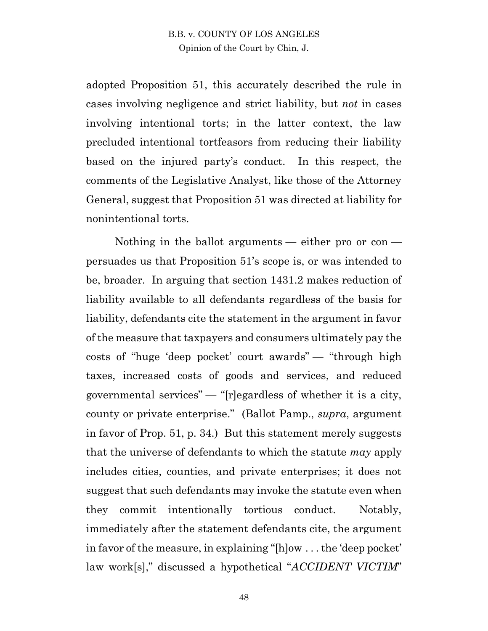adopted Proposition 51, this accurately described the rule in cases involving negligence and strict liability, but *not* in cases involving intentional torts; in the latter context, the law precluded intentional tortfeasors from reducing their liability based on the injured party's conduct. In this respect, the comments of the Legislative Analyst, like those of the Attorney General, suggest that Proposition 51 was directed at liability for nonintentional torts.

Nothing in the ballot arguments — either pro or con persuades us that Proposition 51's scope is, or was intended to be, broader. In arguing that section 1431.2 makes reduction of liability available to all defendants regardless of the basis for liability, defendants cite the statement in the argument in favor of the measure that taxpayers and consumers ultimately pay the costs of "huge 'deep pocket' court awards" — "through high taxes, increased costs of goods and services, and reduced governmental services"  $-$  "[r]egardless of whether it is a city, county or private enterprise." (Ballot Pamp., *supra*, argument in favor of Prop. 51, p. 34.) But this statement merely suggests that the universe of defendants to which the statute *may* apply includes cities, counties, and private enterprises; it does not suggest that such defendants may invoke the statute even when they commit intentionally tortious conduct. Notably, immediately after the statement defendants cite, the argument in favor of the measure, in explaining "[h]ow . . . the 'deep pocket' law work[s]," discussed a hypothetical "*ACCIDENT VICTIM*"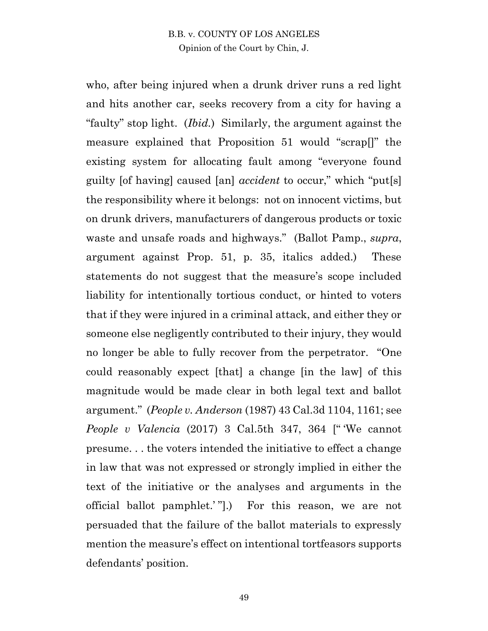who, after being injured when a drunk driver runs a red light and hits another car, seeks recovery from a city for having a "faulty" stop light. (*Ibid.*) Similarly, the argument against the measure explained that Proposition 51 would "scrap[]" the existing system for allocating fault among "everyone found guilty [of having] caused [an] *accident* to occur," which "put[s] the responsibility where it belongs: not on innocent victims, but on drunk drivers, manufacturers of dangerous products or toxic waste and unsafe roads and highways." (Ballot Pamp., *supra*, argument against Prop. 51, p. 35, italics added.) These statements do not suggest that the measure's scope included liability for intentionally tortious conduct, or hinted to voters that if they were injured in a criminal attack, and either they or someone else negligently contributed to their injury, they would no longer be able to fully recover from the perpetrator. "One could reasonably expect [that] a change [in the law] of this magnitude would be made clear in both legal text and ballot argument." (*People v. Anderson* (1987) 43 Cal.3d 1104, 1161; see *People v Valencia* (2017) 3 Cal.5th 347, 364 [" 'We cannot presume. . . the voters intended the initiative to effect a change in law that was not expressed or strongly implied in either the text of the initiative or the analyses and arguments in the official ballot pamphlet.' "].) For this reason, we are not persuaded that the failure of the ballot materials to expressly mention the measure's effect on intentional tortfeasors supports defendants' position.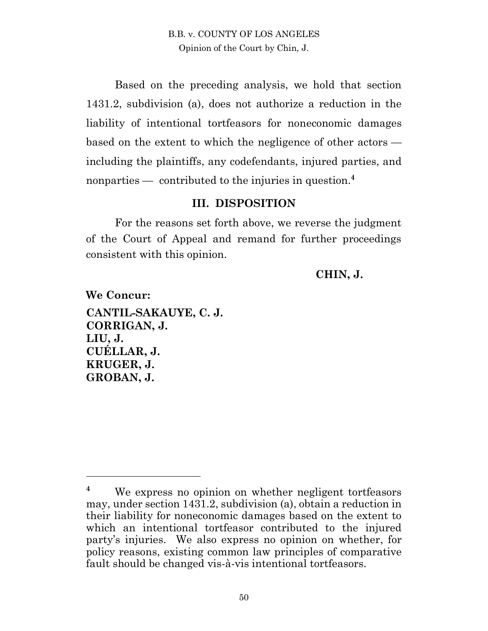Based on the preceding analysis, we hold that section 1431.2, subdivision (a), does not authorize a reduction in the liability of intentional tortfeasors for noneconomic damages based on the extent to which the negligence of other actors including the plaintiffs, any codefendants, injured parties, and nonparties — contributed to the injuries in question. **4**

#### **III. DISPOSITION**

For the reasons set forth above, we reverse the judgment of the Court of Appeal and remand for further proceedings consistent with this opinion.

#### **CHIN, J.**

**We Concur: CANTIL-SAKAUYE, C. J. CORRIGAN, J. LIU, J. CUÉLLAR, J. KRUGER, J. GROBAN, J.** 

 $\overline{a}$ 

**<sup>4</sup>** We express no opinion on whether negligent tortfeasors may, under section 1431.2, subdivision (a), obtain a reduction in their liability for noneconomic damages based on the extent to which an intentional tortfeasor contributed to the injured party's injuries. We also express no opinion on whether, for policy reasons, existing common law principles of comparative fault should be changed vis-à-vis intentional tortfeasors.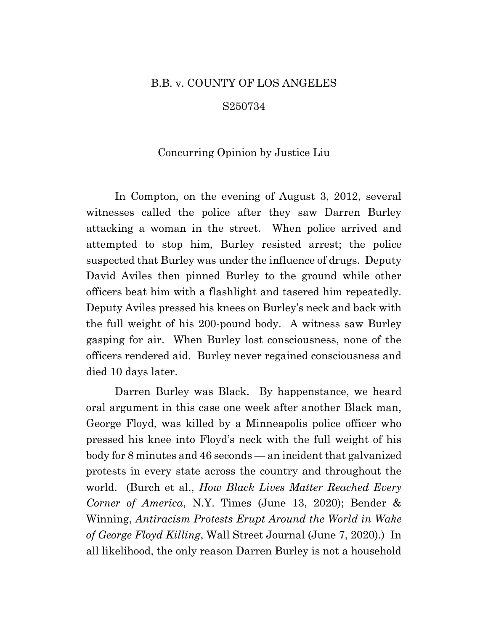#### B.B. v. COUNTY OF LOS ANGELES

#### S250734

#### Concurring Opinion by Justice Liu

In Compton, on the evening of August 3, 2012, several witnesses called the police after they saw Darren Burley attacking a woman in the street. When police arrived and attempted to stop him, Burley resisted arrest; the police suspected that Burley was under the influence of drugs. Deputy David Aviles then pinned Burley to the ground while other officers beat him with a flashlight and tasered him repeatedly. Deputy Aviles pressed his knees on Burley's neck and back with the full weight of his 200-pound body. A witness saw Burley gasping for air. When Burley lost consciousness, none of the officers rendered aid. Burley never regained consciousness and died 10 days later.

Darren Burley was Black. By happenstance, we heard oral argument in this case one week after another Black man, George Floyd, was killed by a Minneapolis police officer who pressed his knee into Floyd's neck with the full weight of his body for 8 minutes and 46 seconds — an incident that galvanized protests in every state across the country and throughout the world. (Burch et al., *How Black Lives Matter Reached Every Corner of America*, N.Y. Times (June 13, 2020); Bender & Winning, *Antiracism Protests Erupt Around the World in Wake of George Floyd Killing*, Wall Street Journal (June 7, 2020).) In all likelihood, the only reason Darren Burley is not a household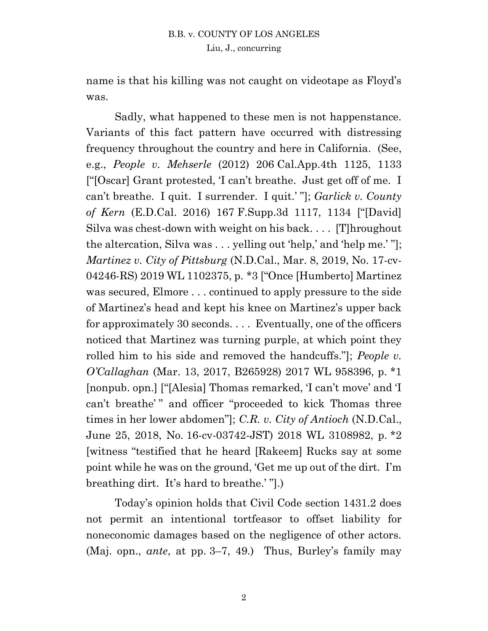name is that his killing was not caught on videotape as Floyd's was.

Sadly, what happened to these men is not happenstance. Variants of this fact pattern have occurred with distressing frequency throughout the country and here in California. (See, e.g., *People v. Mehserle* (2012) 206 Cal.App.4th 1125, 1133 ["[Oscar] Grant protested, 'I can't breathe. Just get off of me. I can't breathe. I quit. I surrender. I quit.' "]; *Garlick v. County of Kern* (E.D.Cal. 2016) 167 F.Supp.3d 1117, 1134 ["[David] Silva was chest-down with weight on his back. . . . [T]hroughout the altercation, Silva was . . . yelling out 'help,' and 'help me.' "]; *Martinez v. City of Pittsburg* (N.D.Cal., Mar. 8, 2019, No. 17-cv-04246-RS) 2019 WL 1102375, p. \*3 ["Once [Humberto] Martinez was secured, Elmore . . . continued to apply pressure to the side of Martinez's head and kept his knee on Martinez's upper back for approximately 30 seconds. . . . Eventually, one of the officers noticed that Martinez was turning purple, at which point they rolled him to his side and removed the handcuffs."]; *People v. O'Callaghan* (Mar. 13, 2017, B265928) 2017 WL 958396, p. \*1 [nonpub. opn.] ["[Alesia] Thomas remarked, 'I can't move' and 'I can't breathe'" and officer "proceeded to kick Thomas three times in her lower abdomen"]; *C.R. v. City of Antioch* (N.D.Cal., June 25, 2018, No. 16-cv-03742-JST) 2018 WL 3108982, p. \*2 [witness "testified that he heard [Rakeem] Rucks say at some point while he was on the ground, 'Get me up out of the dirt. I'm breathing dirt. It's hard to breathe.' "].)

Today's opinion holds that Civil Code section 1431.2 does not permit an intentional tortfeasor to offset liability for noneconomic damages based on the negligence of other actors. (Maj. opn., *ante*, at pp. 3–7, 49.) Thus, Burley's family may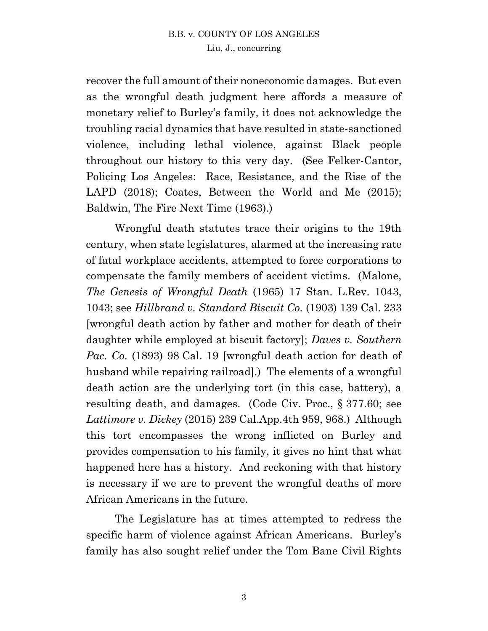recover the full amount of their noneconomic damages. But even as the wrongful death judgment here affords a measure of monetary relief to Burley's family, it does not acknowledge the troubling racial dynamics that have resulted in state-sanctioned violence, including lethal violence, against Black people throughout our history to this very day. (See Felker-Cantor, Policing Los Angeles: Race, Resistance, and the Rise of the LAPD (2018); Coates, Between the World and Me (2015); Baldwin, The Fire Next Time (1963).)

Wrongful death statutes trace their origins to the 19th century, when state legislatures, alarmed at the increasing rate of fatal workplace accidents, attempted to force corporations to compensate the family members of accident victims. (Malone, *The Genesis of Wrongful Death* (1965) 17 Stan. L.Rev. 1043, 1043; see *Hillbrand v. Standard Biscuit Co.* (1903) 139 Cal. 233 [wrongful death action by father and mother for death of their daughter while employed at biscuit factory]; *Daves v. Southern Pac. Co.* (1893) 98 Cal. 19 [wrongful death action for death of husband while repairing railroad].) The elements of a wrongful death action are the underlying tort (in this case, battery), a resulting death, and damages. (Code Civ. Proc., § 377.60; see *Lattimore v. Dickey* (2015) 239 Cal.App.4th 959, 968.) Although this tort encompasses the wrong inflicted on Burley and provides compensation to his family, it gives no hint that what happened here has a history. And reckoning with that history is necessary if we are to prevent the wrongful deaths of more African Americans in the future.

The Legislature has at times attempted to redress the specific harm of violence against African Americans. Burley's family has also sought relief under the Tom Bane Civil Rights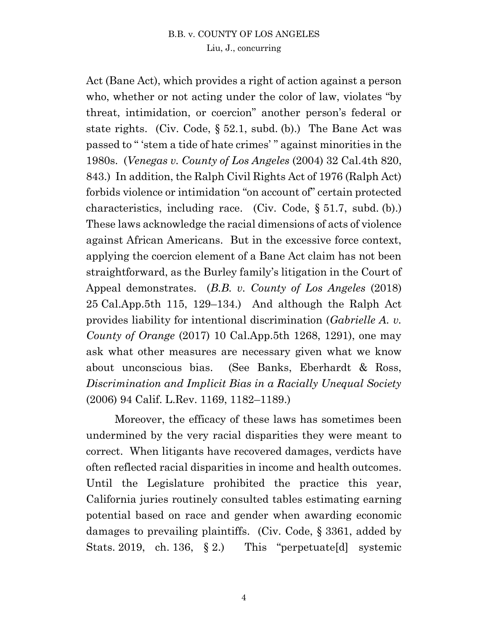Act (Bane Act), which provides a right of action against a person who, whether or not acting under the color of law, violates "by threat, intimidation, or coercion" another person's federal or state rights. (Civ. Code, § 52.1, subd. (b).) The Bane Act was passed to " 'stem a tide of hate crimes' " against minorities in the 1980s. (*Venegas v. County of Los Angeles* (2004) 32 Cal.4th 820, 843.) In addition, the Ralph Civil Rights Act of 1976 (Ralph Act) forbids violence or intimidation "on account of" certain protected characteristics, including race. (Civ. Code, § 51.7, subd. (b).) These laws acknowledge the racial dimensions of acts of violence against African Americans. But in the excessive force context, applying the coercion element of a Bane Act claim has not been straightforward, as the Burley family's litigation in the Court of Appeal demonstrates. (*B.B. v. County of Los Angeles* (2018) 25 Cal.App.5th 115, 129–134.) And although the Ralph Act provides liability for intentional discrimination (*Gabrielle A. v. County of Orange* (2017) 10 Cal.App.5th 1268, 1291), one may ask what other measures are necessary given what we know about unconscious bias. (See Banks, Eberhardt & Ross, *Discrimination and Implicit Bias in a Racially Unequal Society*  (2006) 94 Calif. L.Rev. 1169, 1182–1189.)

Moreover, the efficacy of these laws has sometimes been undermined by the very racial disparities they were meant to correct. When litigants have recovered damages, verdicts have often reflected racial disparities in income and health outcomes. Until the Legislature prohibited the practice this year, California juries routinely consulted tables estimating earning potential based on race and gender when awarding economic damages to prevailing plaintiffs. (Civ. Code, § 3361, added by Stats. 2019, ch. 136, § 2.) This "perpetuate[d] systemic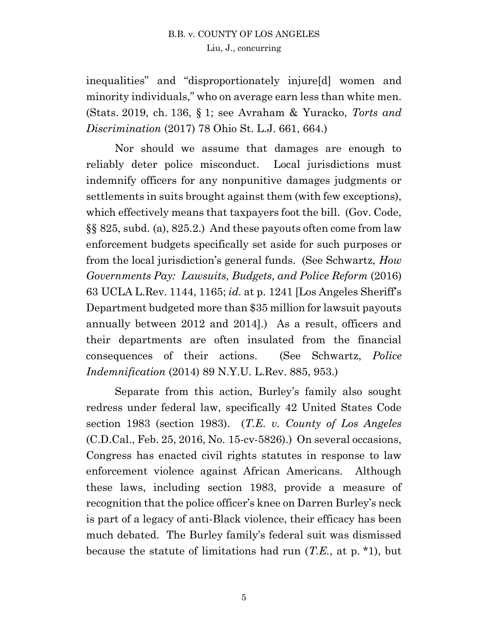inequalities" and "disproportionately injure[d] women and minority individuals," who on average earn less than white men. (Stats. 2019, ch. 136, § 1; see Avraham & Yuracko, *Torts and Discrimination* (2017) 78 Ohio St. L.J. 661, 664.)

Nor should we assume that damages are enough to reliably deter police misconduct. Local jurisdictions must indemnify officers for any nonpunitive damages judgments or settlements in suits brought against them (with few exceptions), which effectively means that taxpayers foot the bill. (Gov. Code, §§ 825, subd. (a), 825.2.) And these payouts often come from law enforcement budgets specifically set aside for such purposes or from the local jurisdiction's general funds. (See Schwartz, *How Governments Pay: Lawsuits, Budgets, and Police Reform* (2016) 63 UCLA L.Rev. 1144, 1165; *id.* at p. 1241 [Los Angeles Sheriff's Department budgeted more than \$35 million for lawsuit payouts annually between 2012 and 2014].) As a result, officers and their departments are often insulated from the financial consequences of their actions. (See Schwartz, *Police Indemnification* (2014) 89 N.Y.U. L.Rev. 885, 953.)

Separate from this action, Burley's family also sought redress under federal law, specifically 42 United States Code section 1983 (section 1983). (*T.E. v. County of Los Angeles* (C.D.Cal., Feb. 25, 2016, No. 15-cv-5826).) On several occasions, Congress has enacted civil rights statutes in response to law enforcement violence against African Americans. Although these laws, including section 1983, provide a measure of recognition that the police officer's knee on Darren Burley's neck is part of a legacy of anti-Black violence, their efficacy has been much debated. The Burley family's federal suit was dismissed because the statute of limitations had run (*T.E.*, at p. \*1), but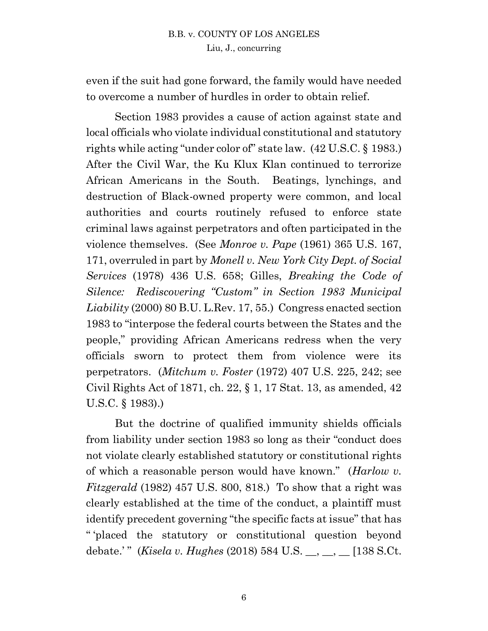even if the suit had gone forward, the family would have needed to overcome a number of hurdles in order to obtain relief.

Section 1983 provides a cause of action against state and local officials who violate individual constitutional and statutory rights while acting "under color of" state law. (42 U.S.C. § 1983.) After the Civil War, the Ku Klux Klan continued to terrorize African Americans in the South. Beatings, lynchings, and destruction of Black-owned property were common, and local authorities and courts routinely refused to enforce state criminal laws against perpetrators and often participated in the violence themselves. (See *Monroe v. Pape* (1961) 365 U.S. 167, 171, overruled in part by *Monell v. New York City Dept. of Social Services* (1978) 436 U.S. 658; Gilles, *Breaking the Code of Silence: Rediscovering "Custom" in Section 1983 Municipal Liability* (2000) 80 B.U. L.Rev. 17, 55.) Congress enacted section 1983 to "interpose the federal courts between the States and the people," providing African Americans redress when the very officials sworn to protect them from violence were its perpetrators. (*Mitchum v. Foster* (1972) 407 U.S. 225, 242; see Civil Rights Act of 1871, ch. 22, § 1, 17 Stat. 13, as amended, 42 U.S.C. § 1983).)

But the doctrine of qualified immunity shields officials from liability under section 1983 so long as their "conduct does not violate clearly established statutory or constitutional rights of which a reasonable person would have known." (*Harlow v. Fitzgerald* (1982) 457 U.S. 800, 818.) To show that a right was clearly established at the time of the conduct, a plaintiff must identify precedent governing "the specific facts at issue" that has " 'placed the statutory or constitutional question beyond debate.'" (*Kisela v. Hughes* (2018) 584 U.S. \_\_, \_\_, \_\_ [138 S.Ct.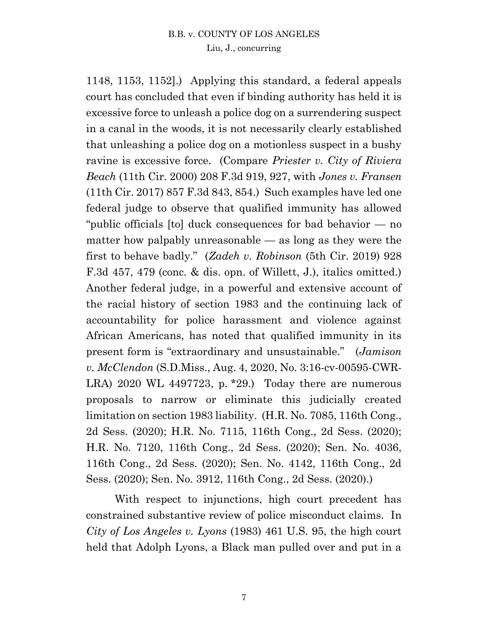1148, 1153, 1152].) Applying this standard, a federal appeals court has concluded that even if binding authority has held it is excessive force to unleash a police dog on a surrendering suspect in a canal in the woods, it is not necessarily clearly established that unleashing a police dog on a motionless suspect in a bushy ravine is excessive force. (Compare *Priester v. City of Riviera Beach* (11th Cir. 2000) 208 F.3d 919, 927, with *Jones v. Fransen* (11th Cir. 2017) 857 F.3d 843, 854.) Such examples have led one federal judge to observe that qualified immunity has allowed "public officials [to] duck consequences for bad behavior — no matter how palpably unreasonable — as long as they were the first to behave badly." (*Zadeh v. Robinson* (5th Cir. 2019) 928 F.3d 457, 479 (conc. & dis. opn. of Willett, J.), italics omitted.) Another federal judge, in a powerful and extensive account of the racial history of section 1983 and the continuing lack of accountability for police harassment and violence against African Americans, has noted that qualified immunity in its present form is "extraordinary and unsustainable." (*Jamison v. McClendon* (S.D.Miss., Aug. 4, 2020, No. 3:16-cv-00595-CWR-LRA) 2020 WL 4497723, p.  $*29$ .) Today there are numerous proposals to narrow or eliminate this judicially created limitation on section 1983 liability. (H.R. No. 7085, 116th Cong., 2d Sess. (2020); H.R. No. 7115, 116th Cong., 2d Sess. (2020); H.R. No. 7120, 116th Cong., 2d Sess. (2020); Sen. No. 4036, 116th Cong., 2d Sess. (2020); Sen. No. 4142, 116th Cong., 2d Sess. (2020); Sen. No. 3912, 116th Cong., 2d Sess. (2020).)

With respect to injunctions, high court precedent has constrained substantive review of police misconduct claims. In *City of Los Angeles v. Lyons* (1983) 461 U.S. 95, the high court held that Adolph Lyons, a Black man pulled over and put in a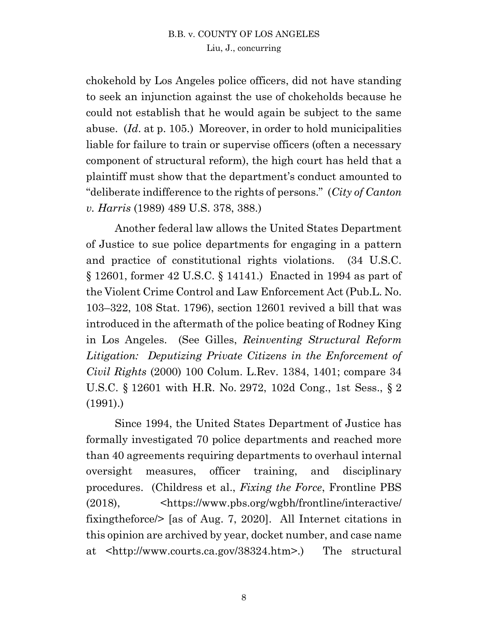chokehold by Los Angeles police officers, did not have standing to seek an injunction against the use of chokeholds because he could not establish that he would again be subject to the same abuse. (*Id*. at p. 105.) Moreover, in order to hold municipalities liable for failure to train or supervise officers (often a necessary component of structural reform), the high court has held that a plaintiff must show that the department's conduct amounted to "deliberate indifference to the rights of persons." (*City of Canton v. Harris* (1989) 489 U.S. 378, 388.)

Another federal law allows the United States Department of Justice to sue police departments for engaging in a pattern and practice of constitutional rights violations. (34 U.S.C. § 12601, former 42 U.S.C. § 14141.) Enacted in 1994 as part of the Violent Crime Control and Law Enforcement Act (Pub.L. No. 103–322, 108 Stat. 1796), section 12601 revived a bill that was introduced in the aftermath of the police beating of Rodney King in Los Angeles. (See Gilles, *Reinventing Structural Reform Litigation: Deputizing Private Citizens in the Enforcement of Civil Rights* (2000) 100 Colum. L.Rev. 1384, 1401; compare 34 U.S.C. § 12601 with H.R. No. 2972, 102d Cong., 1st Sess., § 2 (1991).)

Since 1994, the United States Department of Justice has formally investigated 70 police departments and reached more than 40 agreements requiring departments to overhaul internal oversight measures, officer training, and disciplinary procedures. (Childress et al., *Fixing the Force*, Frontline PBS (2018), <https://www.pbs.org/wgbh/frontline/interactive/ fixingtheforce/> [as of Aug. 7, 2020]. All Internet citations in this opinion are archived by year, docket number, and case name at <http://www.courts.ca.gov/38324.htm>.) The structural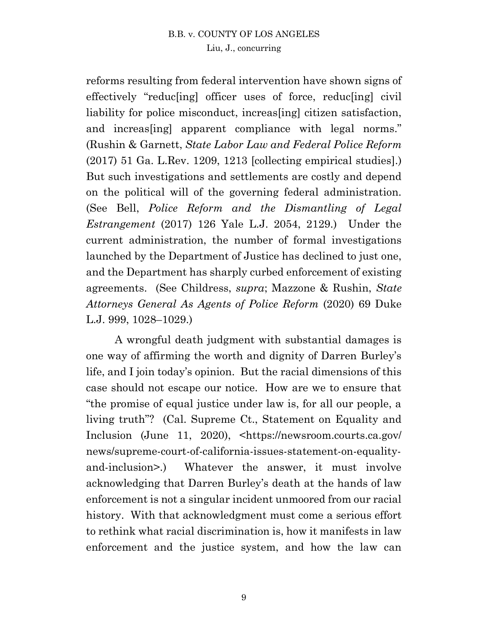reforms resulting from federal intervention have shown signs of effectively "reduc[ing] officer uses of force, reduc[ing] civil liability for police misconduct, increas[ing] citizen satisfaction, and increas[ing] apparent compliance with legal norms." (Rushin & Garnett, *State Labor Law and Federal Police Reform* (2017) 51 Ga. L.Rev. 1209, 1213 [collecting empirical studies].) But such investigations and settlements are costly and depend on the political will of the governing federal administration. (See Bell, *Police Reform and the Dismantling of Legal Estrangement* (2017) 126 Yale L.J. 2054, 2129.) Under the current administration, the number of formal investigations launched by the Department of Justice has declined to just one, and the Department has sharply curbed enforcement of existing agreements. (See Childress, *supra*; Mazzone & Rushin, *State Attorneys General As Agents of Police Reform* (2020) 69 Duke L.J. 999, 1028–1029.)

A wrongful death judgment with substantial damages is one way of affirming the worth and dignity of Darren Burley's life, and I join today's opinion. But the racial dimensions of this case should not escape our notice. How are we to ensure that "the promise of equal justice under law is, for all our people, a living truth"? (Cal. Supreme Ct., Statement on Equality and Inclusion (June 11, 2020), <https://newsroom.courts.ca.gov/ news/supreme-court-of-california-issues-statement-on-equalityand-inclusion>.) Whatever the answer, it must involve acknowledging that Darren Burley's death at the hands of law enforcement is not a singular incident unmoored from our racial history. With that acknowledgment must come a serious effort to rethink what racial discrimination is, how it manifests in law enforcement and the justice system, and how the law can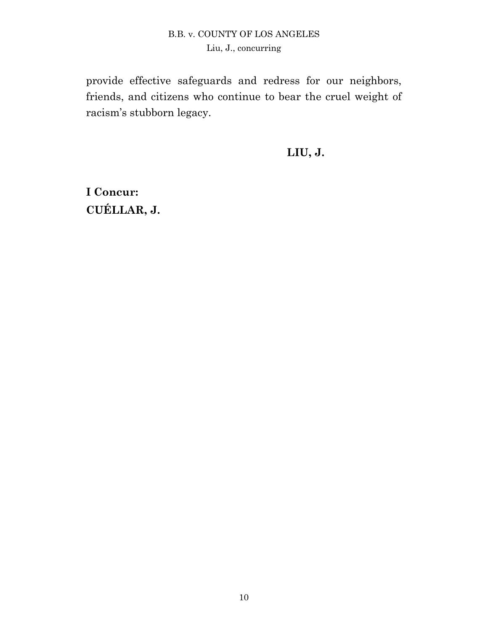provide effective safeguards and redress for our neighbors, friends, and citizens who continue to bear the cruel weight of racism's stubborn legacy.

**LIU, J.**

**I Concur: CUÉLLAR, J.**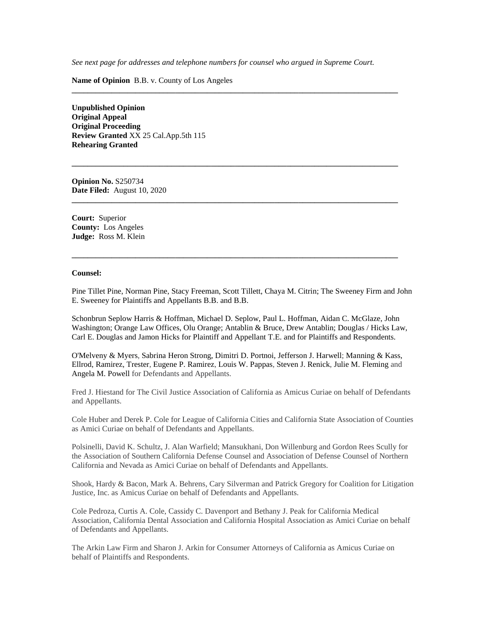*See next page for addresses and telephone numbers for counsel who argued in Supreme Court.*

**\_\_\_\_\_\_\_\_\_\_\_\_\_\_\_\_\_\_\_\_\_\_\_\_\_\_\_\_\_\_\_\_\_\_\_\_\_\_\_\_\_\_\_\_\_\_\_\_\_\_\_\_\_\_\_\_\_\_\_\_\_\_\_\_\_\_\_\_\_\_\_\_\_\_\_\_\_\_\_\_\_\_**

**\_\_\_\_\_\_\_\_\_\_\_\_\_\_\_\_\_\_\_\_\_\_\_\_\_\_\_\_\_\_\_\_\_\_\_\_\_\_\_\_\_\_\_\_\_\_\_\_\_\_\_\_\_\_\_\_\_\_\_\_\_\_\_\_\_\_\_\_\_\_\_\_\_\_\_\_\_\_\_\_\_\_**

**\_\_\_\_\_\_\_\_\_\_\_\_\_\_\_\_\_\_\_\_\_\_\_\_\_\_\_\_\_\_\_\_\_\_\_\_\_\_\_\_\_\_\_\_\_\_\_\_\_\_\_\_\_\_\_\_\_\_\_\_\_\_\_\_\_\_\_\_\_\_\_\_\_\_\_\_\_\_\_\_\_\_**

**\_\_\_\_\_\_\_\_\_\_\_\_\_\_\_\_\_\_\_\_\_\_\_\_\_\_\_\_\_\_\_\_\_\_\_\_\_\_\_\_\_\_\_\_\_\_\_\_\_\_\_\_\_\_\_\_\_\_\_\_\_\_\_\_\_\_\_\_\_\_\_\_\_\_\_\_\_\_\_\_\_\_**

**Name of Opinion** B.B. v. County of Los Angeles

**Unpublished Opinion Original Appeal Original Proceeding Review Granted** XX 25 Cal.App.5th 115 **Rehearing Granted**

**Opinion No.** S250734 **Date Filed:** August 10, 2020

**Court:** Superior **County:** Los Angeles **Judge:** Ross M. Klein

#### **Counsel:**

Pine Tillet Pine, Norman Pine, Stacy Freeman, Scott Tillett, Chaya M. Citrin; The Sweeney Firm and John E. Sweeney for Plaintiffs and Appellants B.B. and B.B.

Schonbrun Seplow Harris & Hoffman, Michael D. Seplow, Paul L. Hoffman, Aidan C. McGlaze, John Washington; Orange Law Offices, Olu Orange; Antablin & Bruce, Drew Antablin; Douglas / Hicks Law, Carl E. Douglas and Jamon Hicks for Plaintiff and Appellant T.E. and for Plaintiffs and Respondents.

O'Melveny & Myers, Sabrina Heron Strong, Dimitri D. Portnoi, Jefferson J. Harwell; Manning & Kass, Ellrod, Ramirez, Trester, Eugene P. Ramirez, Louis W. Pappas, Steven J. Renick, Julie M. Fleming and Angela M. Powell for Defendants and Appellants.

Fred J. Hiestand for The Civil Justice Association of California as Amicus Curiae on behalf of Defendants and Appellants.

Cole Huber and Derek P. Cole for League of California Cities and California State Association of Counties as Amici Curiae on behalf of Defendants and Appellants.

Polsinelli, David K. Schultz, J. Alan Warfield; Mansukhani, Don Willenburg and Gordon Rees Scully for the Association of Southern California Defense Counsel and Association of Defense Counsel of Northern California and Nevada as Amici Curiae on behalf of Defendants and Appellants.

Shook, Hardy & Bacon, Mark A. Behrens, Cary Silverman and Patrick Gregory for Coalition for Litigation Justice, Inc. as Amicus Curiae on behalf of Defendants and Appellants.

Cole Pedroza, Curtis A. Cole, Cassidy C. Davenport and Bethany J. Peak for California Medical Association, California Dental Association and California Hospital Association as Amici Curiae on behalf of Defendants and Appellants.

The Arkin Law Firm and Sharon J. Arkin for Consumer Attorneys of California as Amicus Curiae on behalf of Plaintiffs and Respondents.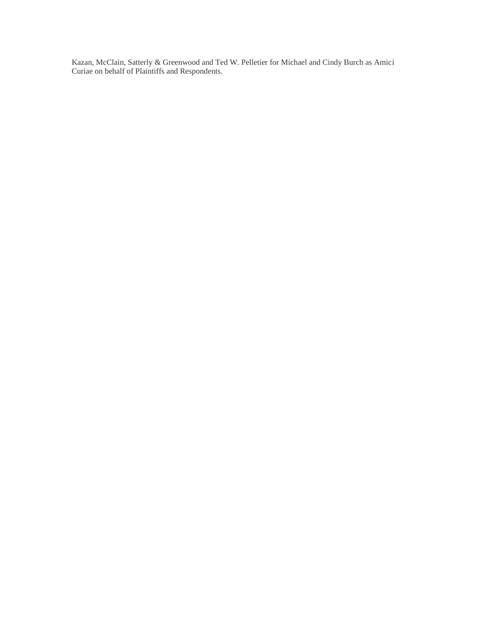Kazan, McClain, Satterly & Greenwood and Ted W. Pelletier for Michael and Cindy Burch as Amici Curiae on behalf of Plaintiffs and Respondents.